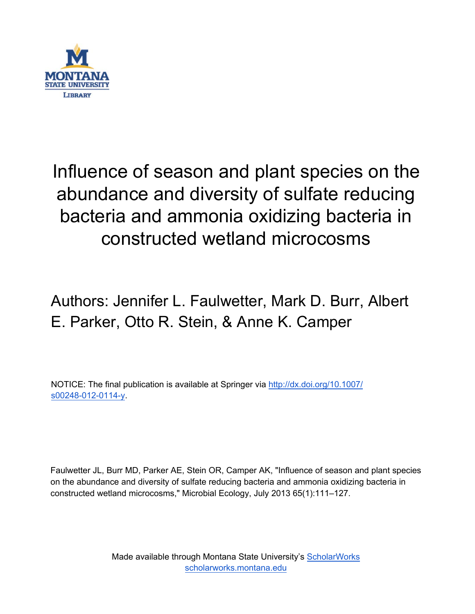

# Influence of season and plant species on the abundance and diversity of sulfate reducing bacteria and ammonia oxidizing bacteria in constructed wetland microcosms

## Authors: Jennifer L. Faulwetter, Mark D. Burr, Albert E. Parker, Otto R. Stein, & Anne K. Camper

NOTICE: The final publication is available at Springer via [http://dx.doi.org/10.1007/](http://dx.doi.org/10.1007/s00248-012-0114-y) [s00248-012-0114-y.](http://dx.doi.org/10.1007/s00248-012-0114-y)

Faulwetter JL, Burr MD, Parker AE, Stein OR, Camper AK, "Influence of season and plant species on the abundance and diversity of sulfate reducing bacteria and ammonia oxidizing bacteria in constructed wetland microcosms," Microbial Ecology, July 2013 65(1):111–127.

> Made available through Montana State University's [ScholarWorks](http://scholarworks.montana.edu/) [scholarworks.montana.edu](http://scholarworks.montana.edu/)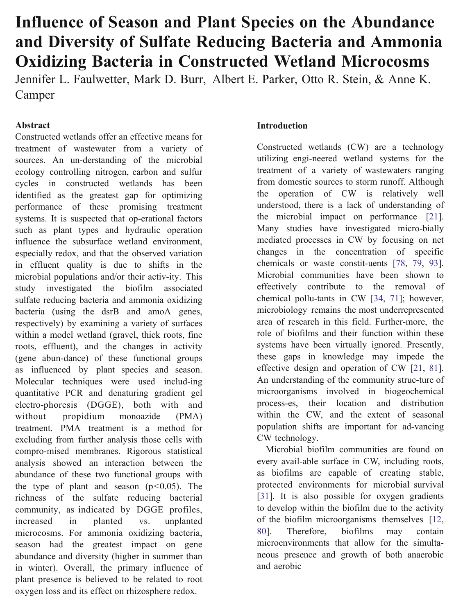# **Influence of Season and Plant Species on the Abundance and Diversity of Sulfate Reducing Bacteria and Ammonia Oxidizing Bacteria in Constructed Wetland Microcosms**

Jennifer L. Faulwetter, Mark D. Burr, Albert E. Parker, Otto R. Stein, & Anne K. Camper

## **Abstract**

Constructed wetlands offer an effective means for treatment of wastewater from a variety of sources. An un-derstanding of the microbial ecology controlling nitrogen, carbon and sulfur cycles in constructed wetlands has been identified as the greatest gap for optimizing performance of these promising treatment systems. It is suspected that op-erational factors such as plant types and hydraulic operation influence the subsurface wetland environment, especially redox, and that the observed variation in effluent quality is due to shifts in the microbial populations and/or their activ-ity. This study investigated the biofilm associated sulfate reducing bacteria and ammonia oxidizing bacteria (using the dsrB and amoA genes, respectively) by examining a variety of surfaces within a model wetland (gravel, thick roots, fine roots, effluent), and the changes in activity (gene abun-dance) of these functional groups as influenced by plant species and season. Molecular techniques were used includ-ing quantitative PCR and denaturing gradient gel electro-phoresis (DGGE), both with and without propidium monoazide (PMA) treatment. PMA treatment is a method for excluding from further analysis those cells with compro-mised membranes. Rigorous statistical analysis showed an interaction between the abundance of these two functional groups with the type of plant and season  $(p<0.05)$ . The richness of the sulfate reducing bacterial community, as indicated by DGGE profiles, increased in planted vs. unplanted microcosms. For ammonia oxidizing bacteria, season had the greatest impact on gene abundance and diversity (higher in summer than in winter). Overall, the primary influence of plant presence is believed to be related to root oxygen loss and its effect on rhizosphere redox.

## **Introduction**

Constructed wetlands (CW) are a technology utilizing engi-neered wetland systems for the treatment of a variety of wastewaters ranging from domestic sources to storm runoff. Although the operation of CW is relatively well understood, there is a lack of understanding of the microbial impact on performance [21]. Many studies have investigated micro-bially mediated processes in CW by focusing on net changes in the concentration of specific chemicals or waste constit-uents [78, 79, 93]. Microbial communities have been shown to effectively contribute to the removal of chemical pollu-tants in CW [34, 71]; however, microbiology remains the most underrepresented area of research in this field. Further-more, the role of biofilms and their function within these syste[ms](#page-15-0) have been virtually ignored. Presently, these gaps in knowledge may impede the [effecti](#page-16-0)[ve](#page-17-0) design and operation of CW [21, 81]. An understanding of the community struc-ture of micro[org](#page-15-0)[anis](#page-16-0)ms involved in biogeochemical process-es, their location and distribution within the CW, and the extent of seasonal population shifts are important for ad-vancing C[W](#page-15-0) [tec](#page-16-0)hnology.

Microbial biofilm communities are found on every avail-able surface in CW, including roots, as biofilms are capable of creating stable, protected environments for microbial survival [31]. It is also possible for oxygen gradients to [dev](#page-15-0)elop within the biofilm due to the activity of the biofilm microorganisms themselves [12, 80]. Therefore, [bio](#page-16-0)films may contain microenvironments that allow for the simultaneous presence and growth of both anaerobic and aerobic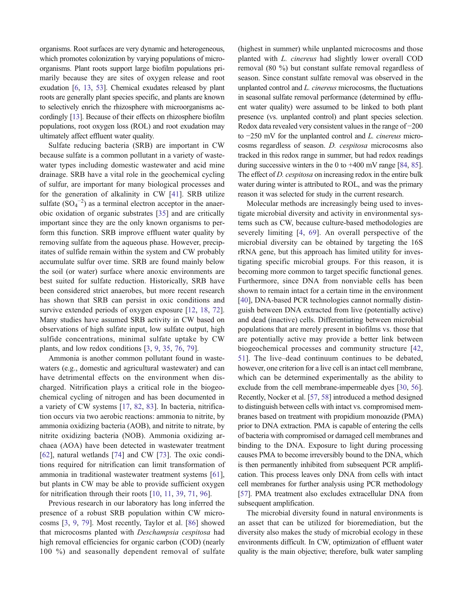organisms. Root surfaces are very dynamic and heterogeneous, which promotes colonization by varying populations of microorganisms. Plant roots support large biofilm populations primarily because they are sites of oxygen release and root exudation [\[6,](#page-14-0) [13,](#page-14-0) [53](#page-15-0)]. Chemical exudates released by plant roots are generally plant species specific, and plants are known to selectively enrich the rhizosphere with microorganisms accordingly [\[13\]](#page-14-0). Because of their effects on rhizosphere biofilm populations, root oxygen loss (ROL) and root exudation may ultimately affect effluent water quality.

Sulfate reducing bacteria (SRB) are important in CW because sulfate is a common pollutant in a variety of wastewater types including domestic wastewater and acid mine drainage. SRB have a vital role in the geochemical cycling of sulfur, are important for many biological processes and for the generation of alkalinity in CW [[41\]](#page-15-0). SRB utilize sulfate  $(SO_4^{-2})$  as a terminal electron acceptor in the anaerobic oxidation of organic substrates [[35\]](#page-15-0) and are critically important since they are the only known organisms to perform this function. SRB improve effluent water quality by removing sulfate from the aqueous phase. However, precipitates of sulfide remain within the system and CW probably accumulate sulfur over time. SRB are found mainly below the soil (or water) surface where anoxic environments are best suited for sulfate reduction. Historically, SRB have been considered strict anaerobes, but more recent research has shown that SRB can persist in oxic conditions and survive extended periods of oxygen exposure [[12,](#page-14-0) [18,](#page-15-0) [72](#page-16-0)]. Many studies have assumed SRB activity in CW based on observations of high sulfate input, low sulfate output, high sulfide concentrations, minimal sulfate uptake by CW plants, and low redox conditions [\[3](#page-14-0), [9,](#page-14-0) [35](#page-15-0), [76,](#page-16-0) [79](#page-16-0)].

Ammonia is another common pollutant found in wastewaters (e.g., domestic and agricultural wastewater) and can have detrimental effects on the environment when discharged. Nitrification plays a critical role in the biogeochemical cycling of nitrogen and has been documented in a variety of CW systems [[17](#page-15-0), [82,](#page-16-0) [83](#page-16-0)]. In bacteria, nitrification occurs via two aerobic reactions: ammonia to nitrite, by ammonia oxidizing bacteria (AOB), and nitrite to nitrate, by nitrite oxidizing bacteria (NOB). Ammonia oxidizing archaea (AOA) have been detected in wastewater treatment [\[62](#page-16-0)], natural wetlands [[74\]](#page-16-0) and CW [[73\]](#page-16-0). The oxic conditions required for nitrification can limit transformation of ammonia in traditional wastewater treatment systems [\[61](#page-16-0)], but plants in CW may be able to provide sufficient oxygen for nitrification through their roots [[10,](#page-14-0) [11,](#page-14-0) [39](#page-15-0), [71,](#page-16-0) [96](#page-17-0)].

Previous research in our laboratory has long inferred the presence of a robust SRB population within CW microcosms [[3,](#page-14-0) [9,](#page-14-0) [79\]](#page-16-0). Most recently, Taylor et al. [[86\]](#page-16-0) showed that microcosms planted with Deschampsia cespitosa had high removal efficiencies for organic carbon (COD) (nearly 100 %) and seasonally dependent removal of sulfate (highest in summer) while unplanted microcosms and those planted with L. cinereus had slightly lower overall COD removal (80 %) but constant sulfate removal regardless of season. Since constant sulfate removal was observed in the unplanted control and L. cinereus microcosms, the fluctuations in seasonal sulfate removal performance (determined by effluent water quality) were assumed to be linked to both plant presence (vs. unplanted control) and plant species selection. Redox data revealed very consistent values in the range of −200 to −250 mV for the unplanted control and L. cinereus microcosms regardless of season. D. cespitosa microcosms also tracked in this redox range in summer, but had redox readings during successive winters in the 0 to +400 mV range [\[84](#page-16-0), [85\]](#page-16-0). The effect of *D. cespitosa* on increasing redox in the entire bulk water during winter is attributed to ROL, and was the primary reason it was selected for study in the current research.

Molecular methods are increasingly being used to investigate microbial diversity and activity in environmental systems such as CW, because culture-based methodologies are severely limiting [[4,](#page-14-0) [69](#page-16-0)]. An overall perspective of the microbial diversity can be obtained by targeting the 16S rRNA gene, but this approach has limited utility for investigating specific microbial groups. For this reason, it is becoming more common to target specific functional genes. Furthermore, since DNA from nonviable cells has been shown to remain intact for a certain time in the environment [\[40](#page-15-0)], DNA-based PCR technologies cannot normally distinguish between DNA extracted from live (potentially active) and dead (inactive) cells. Differentiating between microbial populations that are merely present in biofilms vs. those that are potentially active may provide a better link between biogeochemical processes and community structure [[42,](#page-15-0) [51](#page-15-0)]. The live–dead continuum continues to be debated, however, one criterion for a live cell is an intact cell membrane, which can be determined experimentally as the ability to exclude from the cell membrane-impermeable dyes [[30](#page-15-0), [56\]](#page-16-0). Recently, Nocker et al. [\[57,](#page-16-0) [58](#page-16-0)] introduced a method designed to distinguish between cells with intact vs. compromised membranes based on treatment with propidium monoazide (PMA) prior to DNA extraction. PMA is capable of entering the cells of bacteria with compromised or damaged cell membranes and binding to the DNA. Exposure to light during processing causes PMA to become irreversibly bound to the DNA, which is then permanently inhibited from subsequent PCR amplification. This process leaves only DNA from cells with intact cell membranes for further analysis using PCR methodology [\[57\]](#page-16-0). PMA treatment also excludes extracellular DNA from subsequent amplification.

The microbial diversity found in natural environments is an asset that can be utilized for bioremediation, but the diversity also makes the study of microbial ecology in these environments difficult. In CW, optimization of effluent water quality is the main objective; therefore, bulk water sampling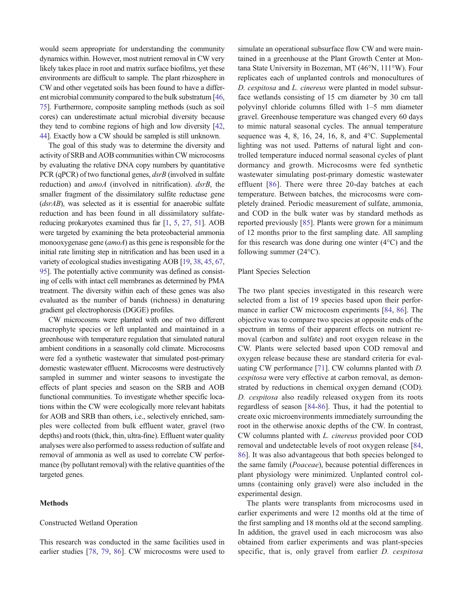would seem appropriate for understanding the community dynamics within. However, most nutrient removal in CW very likely takes place in root and matrix surface biofilms, yet these environments are difficult to sample. The plant rhizosphere in CW and other vegetated soils has been found to have a different microbial community compared to the bulk substratum [\[46,](#page-15-0) [75\]](#page-16-0). Furthermore, composite sampling methods (such as soil cores) can underestimate actual microbial diversity because they tend to combine regions of high and low diversity [\[42,](#page-15-0) [44\]](#page-15-0). Exactly how a CW should be sampled is still unknown.

The goal of this study was to determine the diversity and activity of SRB and AOB communities within CW microcosms by evaluating the relative DNA copy numbers by quantitative PCR (qPCR) of two functional genes,  $dsrB$  (involved in sulfate reduction) and *amoA* (involved in nitrification). *dsrB*, the smaller fragment of the dissimilatory sulfite reductase gene (dsrAB), was selected as it is essential for anaerobic sulfate reduction and has been found in all dissimilatory sulfatereducing prokaryotes examined thus far [\[1,](#page-14-0) [5](#page-14-0), [27,](#page-15-0) [51\]](#page-15-0). AOB were targeted by examining the beta proteobacterial ammonia monooxygenase gene (*amoA*) as this gene is responsible for the initial rate limiting step in nitrification and has been used in a variety of ecological studies investigating AOB [[19](#page-15-0), [38](#page-15-0), [45,](#page-15-0) [67,](#page-16-0) [95\]](#page-17-0). The potentially active community was defined as consisting of cells with intact cell membranes as determined by PMA treatment. The diversity within each of these genes was also evaluated as the number of bands (richness) in denaturing gradient gel electrophoresis (DGGE) profiles.

CW microcosms were planted with one of two different macrophyte species or left unplanted and maintained in a greenhouse with temperature regulation that simulated natural ambient conditions in a seasonally cold climate. Microcosms were fed a synthetic wastewater that simulated post-primary domestic wastewater effluent. Microcosms were destructively sampled in summer and winter seasons to investigate the effects of plant species and season on the SRB and AOB functional communities. To investigate whether specific locations within the CW were ecologically more relevant habitats for AOB and SRB than others, i.e., selectively enriched, samples were collected from bulk effluent water, gravel (two depths) and roots (thick, thin, ultra-fine). Effluent water quality analyses were also performed to assess reduction of sulfate and removal of ammonia as well as used to correlate CW performance (by pollutant removal) with the relative quantities of the targeted genes.

## **Methods**

## Constructed Wetland Operation

This research was conducted in the same facilities used in earlier studies [[78,](#page-16-0) [79](#page-16-0), [86](#page-16-0)]. CW microcosms were used to simulate an operational subsurface flow CW and were maintained in a greenhouse at the Plant Growth Center at Montana State University in Bozeman, MT (46°N, 111°W). Four replicates each of unplanted controls and monocultures of D. cespitosa and L. cinereus were planted in model subsurface wetlands consisting of 15 cm diameter by 30 cm tall polyvinyl chloride columns filled with 1–5 mm diameter gravel. Greenhouse temperature was changed every 60 days to mimic natural seasonal cycles. The annual temperature sequence was 4, 8, 16, 24, 16, 8, and  $4^{\circ}$ C. Supplemental lighting was not used. Patterns of natural light and controlled temperature induced normal seasonal cycles of plant dormancy and growth. Microcosms were fed synthetic wastewater simulating post-primary domestic wastewater effluent [[86](#page-16-0)]. There were three 20-day batches at each temperature. Between batches, the microcosms were completely drained. Periodic measurement of sulfate, ammonia, and COD in the bulk water was by standard methods as reported previously [\[85](#page-16-0)]. Plants were grown for a minimum of 12 months prior to the first sampling date. All sampling for this research was done during one winter (4°C) and the following summer (24°C).

## Plant Species Selection

The two plant species investigated in this research were selected from a list of 19 species based upon their performance in earlier CW microcosm experiments [\[84](#page-16-0), [86](#page-16-0)]. The objective was to compare two species at opposite ends of the spectrum in terms of their apparent effects on nutrient removal (carbon and sulfate) and root oxygen release in the CW. Plants were selected based upon COD removal and oxygen release because these are standard criteria for evaluating CW performance [\[71](#page-16-0)]. CW columns planted with D. cespitosa were very effective at carbon removal, as demonstrated by reductions in chemical oxygen demand (COD). D. cespitosa also readily released oxygen from its roots regardless of season [[84-86\]](#page-16-0). Thus, it had the potential to create oxic microenvironments immediately surrounding the root in the otherwise anoxic depths of the CW. In contrast, CW columns planted with L. cinereus provided poor COD removal and undetectable levels of root oxygen release [[84,](#page-16-0) [86](#page-16-0)]. It was also advantageous that both species belonged to the same family (Poaceae), because potential differences in plant physiology were minimized. Unplanted control columns (containing only gravel) were also included in the experimental design.

The plants were transplants from microcosms used in earlier experiments and were 12 months old at the time of the first sampling and 18 months old at the second sampling. In addition, the gravel used in each microcosm was also obtained from earlier experiments and was plant-species specific, that is, only gravel from earlier *D. cespitosa*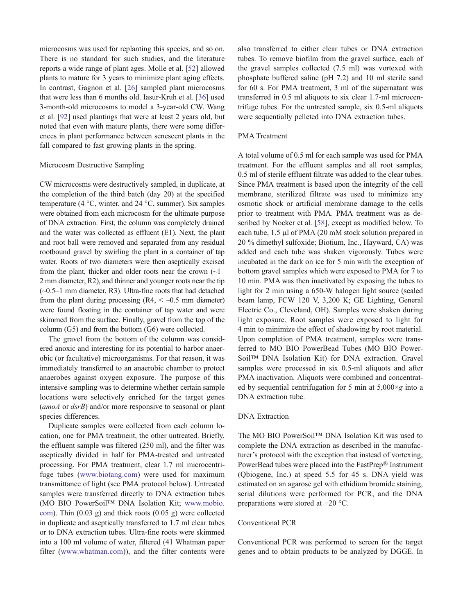microcosms was used for replanting this species, and so on. There is no standard for such studies, and the literature reports a wide range of plant ages. Molle et al. [[52\]](#page-15-0) allowed plants to mature for 3 years to minimize plant aging effects. In contrast, Gagnon et al. [[26\]](#page-15-0) sampled plant microcosms that were less than 6 months old. Iasur-Kruh et al. [\[36](#page-15-0)] used 3-month-old microcosms to model a 3-year-old CW. Wang et al. [\[92](#page-16-0)] used plantings that were at least 2 years old, but noted that even with mature plants, there were some differences in plant performance between senescent plants in the fall compared to fast growing plants in the spring.

## Microcosm Destructive Sampling

CW microcosms were destructively sampled, in duplicate, at the completion of the third batch (day 20) at the specified temperature (4  $\mathrm{^{\circ}C}$ , winter, and 24  $\mathrm{^{\circ}C}$ , summer). Six samples were obtained from each microcosm for the ultimate purpose of DNA extraction. First, the column was completely drained and the water was collected as effluent (E1). Next, the plant and root ball were removed and separated from any residual rootbound gravel by swirling the plant in a container of tap water. Roots of two diameters were then aseptically excised from the plant, thicker and older roots near the crown  $(\sim]$ -2 mm diameter, R2), and thinner and younger roots near the tip (~0.5–1 mm diameter, R3). Ultra-fine roots that had detached from the plant during processing  $(R4, \leq 0.5 \text{ mm diameter})$ were found floating in the container of tap water and were skimmed from the surface. Finally, gravel from the top of the column (G5) and from the bottom (G6) were collected.

The gravel from the bottom of the column was considered anoxic and interesting for its potential to harbor anaerobic (or facultative) microorganisms. For that reason, it was immediately transferred to an anaerobic chamber to protect anaerobes against oxygen exposure. The purpose of this intensive sampling was to determine whether certain sample locations were selectively enriched for the target genes (amoA or dsrB) and/or more responsive to seasonal or plant species differences.

Duplicate samples were collected from each column location, one for PMA treatment, the other untreated. Briefly, the effluent sample was filtered (250 ml), and the filter was aseptically divided in half for PMA-treated and untreated processing. For PMA treatment, clear 1.7 ml microcentrifuge tubes (www.biotang.com) were used for maximum transmittance of light (see PMA protocol below). Untreated samples were transferred directly to DNA extraction tubes (MO BIO PowerSoil™ DNA Isolation Kit; www.mobio. com). Thin (0.03 g) and thick roots (0.05 g) were collected in duplicate and aseptically transferred to 1.7 ml clear tubes or to DNA extraction tubes. Ultra-fine roots were skimmed into a 100 ml volume of water, filtered (41 Whatman paper filter (www.whatman.com)), and the filter contents were also transferred to either clear tubes or DNA extraction tubes. To remove biofilm from the gravel surface, each of the gravel samples collected (7.5 ml) was vortexed with phosphate buffered saline (pH 7.2) and 10 ml sterile sand for 60 s. For PMA treatment, 3 ml of the supernatant was transferred in 0.5 ml aliquots to six clear 1.7-ml microcentrifuge tubes. For the untreated sample, six 0.5-ml aliquots were sequentially pelleted into DNA extraction tubes.

## PMA Treatment

A total volume of 0.5 ml for each sample was used for PMA treatment. For the effluent samples and all root samples, 0.5 ml of sterile effluent filtrate was added to the clear tubes. Since PMA treatment is based upon the integrity of the cell membrane, sterilized filtrate was used to minimize any osmotic shock or artificial membrane damage to the cells prior to treatment with PMA. PMA treatment was as described by Nocker et al. [\[58](#page-16-0)], except as modified below. To each tube, 1.5 μl of PMA (20 mM stock solution prepared in 20 % dimethyl sulfoxide; Biotium, Inc., Hayward, CA) was added and each tube was shaken vigorously. Tubes were incubated in the dark on ice for 5 min with the exception of bottom gravel samples which were exposed to PMA for 7 to 10 min. PMA was then inactivated by exposing the tubes to light for 2 min using a 650-W halogen light source (sealed beam lamp, FCW 120 V, 3,200 K; GE Lighting, General Electric Co., Cleveland, OH). Samples were shaken during light exposure. Root samples were exposed to light for 4 min to minimize the effect of shadowing by root material. Upon completion of PMA treatment, samples were transferred to MO BIO PowerBead Tubes (MO BIO Power-Soil™ DNA Isolation Kit) for DNA extraction. Gravel samples were processed in six 0.5-ml aliquots and after PMA inactivation. Aliquots were combined and concentrated by sequential centrifugation for 5 min at  $5,000 \times g$  into a DNA extraction tube.

#### DNA Extraction

The MO BIO PowerSoil™ DNA Isolation Kit was used to complete the DNA extraction as described in the manufacturer's protocol with the exception that instead of vortexing, PowerBead tubes were placed into the FastPrep® Instrument (Qbiogene, Inc.) at speed 5.5 for 45 s. DNA yield was estimated on an agarose gel with ethidium bromide staining, serial dilutions were performed for PCR, and the DNA preparations were stored at −20 °C.

## Conventional PCR

Conventional PCR was performed to screen for the target genes and to obtain products to be analyzed by DGGE. In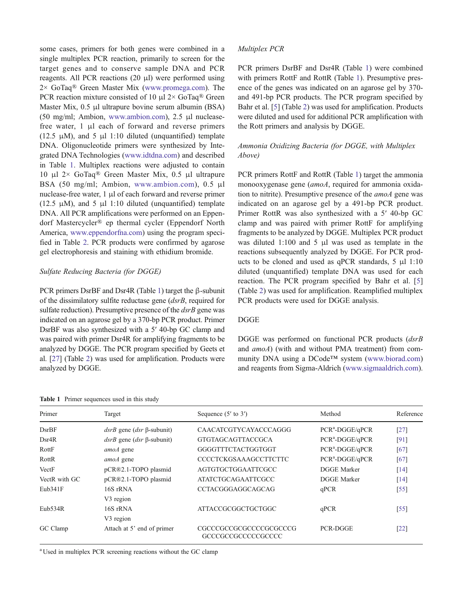<span id="page-5-0"></span>some cases, primers for both genes were combined in a single multiplex PCR reaction, primarily to screen for the target genes and to conserve sample DNA and PCR reagents. All PCR reactions (20 μl) were performed using 2× GoTaq® Green Master Mix (www.promega.com). The PCR reaction mixture consisted of 10 μl 2× GoTaq® Green Master Mix, 0.5 μl ultrapure bovine serum albumin (BSA) (50 mg/ml; Ambion, www.ambion.com), 2.5 μl nucleasefree water, 1 μl each of forward and reverse primers (12.5  $\mu$ M), and 5  $\mu$ 1 1:10 diluted (unquantified) template DNA. Oligonucleotide primers were synthesized by Integrated DNA Technologies (www.idtdna.com) and described in Table 1. Multiplex reactions were adjusted to contain 10 μl 2× GoTaq® Green Master Mix, 0.5 μl ultrapure BSA (50 mg/ml; Ambion, www.ambion.com), 0.5 μl nuclease-free water, 1 μl of each forward and reverse primer (12.5  $\mu$ M), and 5  $\mu$ 1 1:10 diluted (unquantified) template DNA. All PCR amplifications were performed on an Eppendorf Mastercycler® ep thermal cycler (Eppendorf North America, www.eppendorfna.com) using the program specified in Table [2.](#page-6-0) PCR products were confirmed by agarose gel electrophoresis and staining with ethidium bromide.

## Sulfate Reducing Bacteria (for DGGE)

PCR primers DsrBF and Dsr4R (Table 1) target the β-subunit of the dissimilatory sulfite reductase gene (dsrB, required for sulfate reduction). Presumptive presence of the  $dsrB$  gene was indicated on an agarose gel by a 370-bp PCR product. Primer DsrBF was also synthesized with a 5′ 40-bp GC clamp and was paired with primer Dsr4R for amplifying fragments to be analyzed by DGGE. The PCR program specified by Geets et al. [[27\]](#page-15-0) (Table [2\)](#page-6-0) was used for amplification. Products were analyzed by DGGE.

## Multiplex PCR

PCR primers DsrBF and Dsr4R (Table 1) were combined with primers RottF and RottR (Table 1). Presumptive presence of the genes was indicated on an agarose gel by 370 and 491-bp PCR products. The PCR program specified by Bahr et al. [\[5](#page-14-0)] (Table [2\)](#page-6-0) was used for amplification. Products were diluted and used for additional PCR amplification with the Rott primers and analysis by DGGE.

## Ammonia Oxidizing Bacteria (for DGGE, with Multiplex Above)

PCR primers RottF and RottR (Table 1) target the ammonia monooxygenase gene (amoA, required for ammonia oxidation to nitrite). Presumptive presence of the *amoA* gene was indicated on an agarose gel by a 491-bp PCR product. Primer RottR was also synthesized with a 5′ 40-bp GC clamp and was paired with primer RottF for amplifying fragments to be analyzed by DGGE. Multiplex PCR product was diluted 1:100 and 5 μl was used as template in the reactions subsequently analyzed by DGGE. For PCR products to be cloned and used as qPCR standards,  $5 \mu 1:10$ diluted (unquantified) template DNA was used for each reaction. The PCR program specified by Bahr et al. [[5](#page-14-0)] (Table [2\)](#page-6-0) was used for amplification. Reamplified multiplex PCR products were used for DGGE analysis.

## **DGGE**

DGGE was performed on functional PCR products (dsrB and amoA) (with and without PMA treatment) from community DNA using a DCode™ system (www.biorad.com) and reagents from Sigma-Aldrich (www.sigmaaldrich.com).

Table 1 Primer sequences used in this study

| Primer        | Target                             | Sequence $(5'$ to $3')$                       | Method                      | Reference          |
|---------------|------------------------------------|-----------------------------------------------|-----------------------------|--------------------|
| <b>DsrBF</b>  | $dsrB$ gene (dsr $\beta$ -subunit) | CAACATCGTYCAYACCCAGGG                         | PCR <sup>a</sup> -DGGE/qPCR | [27]               |
| Dsr4R         | $dsrB$ gene (dsr $\beta$ -subunit) | <b>GTGTAGCAGTTACCGCA</b>                      | PCR <sup>a</sup> -DGGE/qPCR | [91]               |
| RottF         | amoA gene                          | GGGGTTTCTACTGGTGGT                            | PCR <sup>a</sup> -DGGE/qPCR | [67]               |
| RottR         | amoA gene                          | <b>CCCCTCKGSAAAGCCTTCTTC</b>                  | PCR <sup>a</sup> -DGGE/qPCR | [67]               |
| VectF         | pCR®2.1-TOPO plasmid               | AGTGTGCTGGAATTCGCC                            | DGGE Marker                 | $\lceil 14 \rceil$ |
| VectR with GC | pCR®2.1-TOPO plasmid               | <b>ATATCTGCAGA ATTCGCC</b>                    | DGGE Marker                 | $\lceil 14 \rceil$ |
| Eub341F       | 16S rRNA<br>V <sub>3</sub> region  | CCTACGGGAGGCAGCAG                             | qPCR                        | $[55]$             |
| Eub $534R$    | 16S rRNA<br>V <sub>3</sub> region  | ATTACCGCGGCTGCTGGC                            | qPCR                        | $\left[55\right]$  |
| GC Clamp      | Attach at 5' end of primer         | CGCCCGCCGCGCCCCGCGCCCCG<br>GCCCGCCGCCCCCGCCCC | PCR-DGGE                    | $\lceil 22 \rceil$ |

<sup>a</sup> Used in multiplex PCR screening reactions without the GC clamp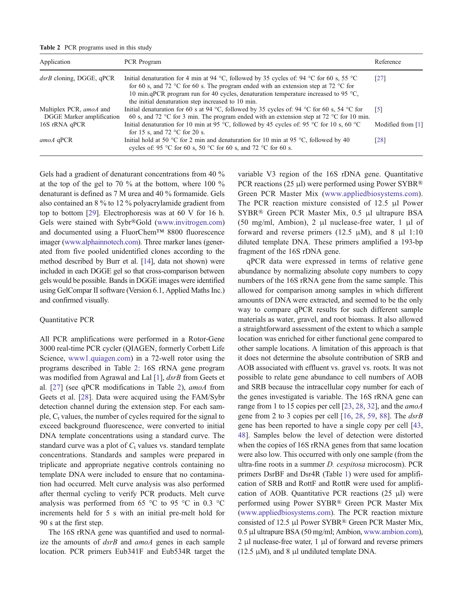<span id="page-6-0"></span>Table 2 PCR programs used in this study

| Application                                          | PCR Program                                                                                                                                                                                                                                                                                                                            | Reference         |
|------------------------------------------------------|----------------------------------------------------------------------------------------------------------------------------------------------------------------------------------------------------------------------------------------------------------------------------------------------------------------------------------------|-------------------|
| dsrB cloning, DGGE, qPCR                             | Initial denaturation for 4 min at 94 °C, followed by 35 cycles of: 94 °C for 60 s, 55 °C<br>for 60 s, and 72 °C for 60 s. The program ended with an extension step at 72 °C for<br>10 min.qPCR program run for 40 cycles, denaturation temperature increased to 95 $^{\circ}$ C,<br>the initial denaturation step increased to 10 min. | [27]              |
| Multiplex PCR, amoA and<br>DGGE Marker amplification | Initial denaturation for 60 s at 94 °C, followed by 35 cycles of: 94 °C for 60 s, 54 °C for<br>60 s, and 72 °C for 3 min. The program ended with an extension step at 72 °C for 10 min.                                                                                                                                                | $\lceil 5 \rceil$ |
| 16S rRNA qPCR                                        | Initial denaturation for 10 min at 95 °C, followed by 45 cycles of: 95 °C for 10 s, 60 °C<br>for 15 s, and 72 $\degree$ C for 20 s.                                                                                                                                                                                                    | Modified from [1] |
| $amoA$ qPCR                                          | Initial hold at 50 °C for 2 min and denaturation for 10 min at 95 °C, followed by 40<br>cycles of: 95 °C for 60 s, 50 °C for 60 s, and 72 °C for 60 s.                                                                                                                                                                                 | [28]              |

Gels had a gradient of denaturant concentrations from 40 % at the top of the gel to 70 % at the bottom, where 100 % denaturant is defined as 7 M urea and 40 % formamide. Gels also contained an 8 % to 12 % polyacrylamide gradient from top to bottom [[29\]](#page-15-0). Electrophoresis was at 60 V for 16 h. Gels were stained with Sybr®Gold (www.invitrogen.com) and documented using a FluorChem™ 8800 fluorescence imager (www.alphainnotech.com). Three marker lanes (generated from five pooled unidentified clones according to the method described by Burr et al. [\[14\]](#page-14-0), data not shown) were included in each DGGE gel so that cross-comparison between gels would be possible. Bands in DGGE images were identified using GelCompar II software (Version 6.1, Applied Maths Inc.) and confirmed visually.

## Quantitative PCR

All PCR amplifications were performed in a Rotor-Gene 3000 real-time PCR cycler (QIAGEN, formerly Corbett Life Science, www1.quiagen.com) in a 72-well rotor using the programs described in Table 2: 16S rRNA gene program was modified from Agrawal and Lal [[1\]](#page-14-0),  $dsrB$  from Geets et al. [[27\]](#page-15-0) (see qPCR modifications in Table 2), amoA from Geets et al. [\[28](#page-15-0)]. Data were acquired using the FAM/Sybr detection channel during the extension step. For each sample,  $C_t$  values, the number of cycles required for the signal to exceed background fluorescence, were converted to initial DNA template concentrations using a standard curve. The standard curve was a plot of  $C_t$  values vs. standard template concentrations. Standards and samples were prepared in triplicate and appropriate negative controls containing no template DNA were included to ensure that no contamination had occurred. Melt curve analysis was also performed after thermal cycling to verify PCR products. Melt curve analysis was performed from 65 °C to 95 °C in 0.3 °C increments held for 5 s with an initial pre-melt hold for 90 s at the first step.

The 16S rRNA gene was quantified and used to normalize the amounts of  $dsrB$  and  $amoA$  genes in each sample location. PCR primers Eub341F and Eub534R target the variable V3 region of the 16S rDNA gene. Quantitative PCR reactions (25 μl) were performed using Power SYBR® Green PCR Master Mix (www.appliedbiosystems.com). The PCR reaction mixture consisted of 12.5 μl Power SYBR® Green PCR Master Mix, 0.5 μl ultrapure BSA (50 mg/ml, Ambion), 2 μl nuclease-free water, 1 μl of forward and reverse primers (12.5  $\mu$ M), and 8  $\mu$ l 1:10 diluted template DNA. These primers amplified a 193-bp fragment of the 16S rDNA gene.

qPCR data were expressed in terms of relative gene abundance by normalizing absolute copy numbers to copy numbers of the 16S rRNA gene from the same sample. This allowed for comparison among samples in which different amounts of DNA were extracted, and seemed to be the only way to compare qPCR results for such different sample materials as water, gravel, and root biomass. It also allowed a straightforward assessment of the extent to which a sample location was enriched for either functional gene compared to other sample locations. A limitation of this approach is that it does not determine the absolute contribution of SRB and AOB associated with effluent vs. gravel vs. roots. It was not possible to relate gene abundance to cell numbers of AOB and SRB because the intracellular copy number for each of the genes investigated is variable. The 16S rRNA gene can range from 1 to 15 copies per cell [[23,](#page-15-0) [28,](#page-15-0) [32](#page-15-0)], and the *amoA* gene from 2 to 3 copies per cell [[16,](#page-14-0) [28](#page-15-0), [59,](#page-16-0) [88](#page-16-0)]. The dsrB gene has been reported to have a single copy per cell [[43,](#page-15-0) [48](#page-15-0)]. Samples below the level of detection were distorted when the copies of 16S rRNA genes from that same location were also low. This occurred with only one sample (from the ultra-fine roots in a summer D. cespitosa microcosm). PCR primers DsrBF and Dsr4R (Table [1](#page-5-0)) were used for amplification of SRB and RottF and RottR were used for amplification of AOB. Quantitative PCR reactions (25 μl) were performed using Power SYBR® Green PCR Master Mix (www.appliedbiosystems.com). The PCR reaction mixture consisted of 12.5 μl Power SYBR® Green PCR Master Mix, 0.5 μl ultrapure BSA (50 mg/ml; Ambion, www.ambion.com), 2 μl nuclease-free water, 1 μl of forward and reverse primers (12.5  $\mu$ M), and 8  $\mu$ l undiluted template DNA.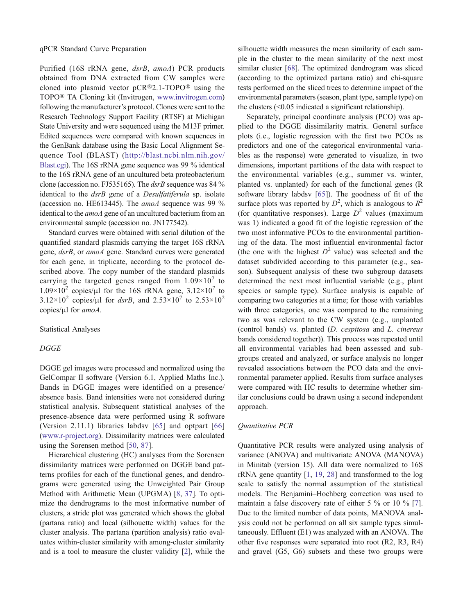Purified (16S rRNA gene, dsrB, amoA) PCR products obtained from DNA extracted from CW samples were cloned into plasmid vector pCR®2.1-TOPO® using the TOPO® TA Cloning kit (Invitrogen, www.invitrogen.com) following the manufacturer's protocol. Clones were sent to the Research Technology Support Facility (RTSF) at Michigan State University and were sequenced using the M13F primer. Edited sequences were compared with known sequences in the GenBank database using the Basic Local Alignment Sequence Tool (BLAST) (http://blast.ncbi.nlm.nih.gov/ Blast.cgi). The 16S rRNA gene sequence was 99 % identical to the 16S rRNA gene of an uncultured beta proteobacterium clone (accession no. FJ535165). The *dsrB* sequence was 84 % identical to the *dsrB* gene of a *Desulfatiferula* sp. isolate (accession no. HE613445). The *amoA* sequence was 99  $\%$ identical to the  $amoA$  gene of an uncultured bacterium from an environmental sample (accession no. JN177542).

Standard curves were obtained with serial dilution of the quantified standard plasmids carrying the target 16S rRNA gene,  $dsrB$ , or amoA gene. Standard curves were generated for each gene, in triplicate, according to the protocol described above. The copy number of the standard plasmids carrying the targeted genes ranged from  $1.09 \times 10^7$  to  $1.09\times10^{2}$  copies/ $\mu$ l for the 16S rRNA gene,  $3.12\times10^{7}$  to  $3.12\times10^2$  copies/µl for dsrB, and  $2.53\times10^7$  to  $2.53\times10^2$ copies/μl for amoA.

## Statistical Analyses

## DGGE

DGGE gel images were processed and normalized using the GelCompar II software (Version 6.1, Applied Maths Inc.). Bands in DGGE images were identified on a presence/ absence basis. Band intensities were not considered during statistical analysis. Subsequent statistical analyses of the presence-absence data were performed using R software (Version 2.11.1) libraries labdsv [\[65\]](#page-16-0) and optpart [\[66\]](#page-16-0) (www.r-project.org). Dissimilarity matrices were calculated using the Sorensen method [[50,](#page-15-0) [87](#page-16-0)].

Hierarchical clustering (HC) analyses from the Sorensen dissimilarity matrices were performed on DGGE band patterns profiles for each of the functional genes, and dendrograms were generated using the Unweighted Pair Group Method with Arithmetic Mean (UPGMA) [[8,](#page-14-0) [37\]](#page-15-0). To optimize the dendrograms to the most informative number of clusters, a stride plot was generated which shows the global (partana ratio) and local (silhouette width) values for the cluster analysis. The partana (partition analysis) ratio evaluates within-cluster similarity with among-cluster similarity and is a tool to measure the cluster validity [\[2](#page-14-0)], while the

silhouette width measures the mean similarity of each sample in the cluster to the mean similarity of the next most similar cluster [[68\]](#page-16-0). The optimized dendrogram was sliced (according to the optimized partana ratio) and chi-square tests performed on the sliced trees to determine impact of the environmental parameters (season, plant type, sample type) on the clusters (<0.05 indicated a significant relationship).

Separately, principal coordinate analysis (PCO) was applied to the DGGE dissimilarity matrix. General surface plots (i.e., logistic regression with the first two PCOs as predictors and one of the categorical environmental variables as the response) were generated to visualize, in two dimensions, important partitions of the data with respect to the environmental variables (e.g., summer vs. winter, planted vs. unplanted) for each of the functional genes (R software library labdsv [[65\]](#page-16-0)). The goodness of fit of the surface plots was reported by  $D^2$ , which is analogous to  $R^2$ (for quantitative responses). Large  $D^2$  values (maximum was 1) indicated a good fit of the logistic regression of the two most informative PCOs to the environmental partitioning of the data. The most influential environmental factor (the one with the highest  $D^2$  value) was selected and the dataset subdivided according to this parameter (e.g., season). Subsequent analysis of these two subgroup datasets determined the next most influential variable (e.g., plant species or sample type). Surface analysis is capable of comparing two categories at a time; for those with variables with three categories, one was compared to the remaining two as was relevant to the CW system (e.g., unplanted (control bands) vs. planted (D. cespitosa and L. cinereus bands considered together)). This process was repeated until all environmental variables had been assessed and subgroups created and analyzed, or surface analysis no longer revealed associations between the PCO data and the environmental parameter applied. Results from surface analyses were compared with HC results to determine whether similar conclusions could be drawn using a second independent approach.

#### Quantitative PCR

Quantitative PCR results were analyzed using analysis of variance (ANOVA) and multivariate ANOVA (MANOVA) in Minitab (version 15). All data were normalized to 16S rRNA gene quantity [\[1](#page-14-0), [19](#page-15-0), [28\]](#page-15-0) and transformed to the log scale to satisfy the normal assumption of the statistical models. The Benjamini–Hochberg correction was used to maintain a false discovery rate of either 5 % or 10 % [[7\]](#page-14-0). Due to the limited number of data points, MANOVA analysis could not be performed on all six sample types simultaneously. Effluent (E1) was analyzed with an ANOVA. The other five responses were separated into root (R2, R3, R4) and gravel (G5, G6) subsets and these two groups were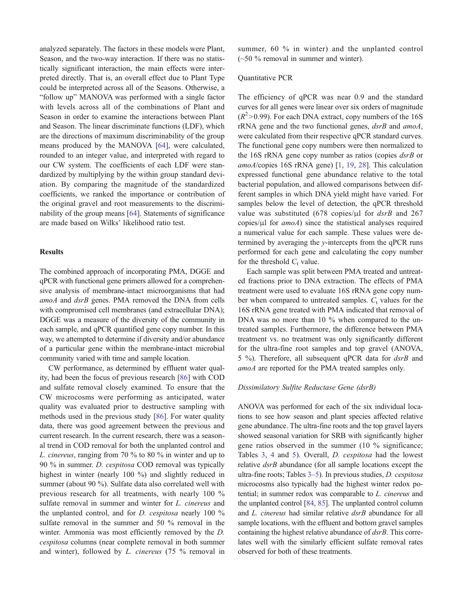analyzed separately. The factors in these models were Plant, Season, and the two-way interaction. If there was no statistically significant interaction, the main effects were interpreted directly. That is, an overall effect due to Plant Type could be interpreted across all of the Seasons. Otherwise, a "follow up" MANOVA was performed with a single factor with levels across all of the combinations of Plant and Season in order to examine the interactions between Plant and Season. The linear discriminate functions (LDF), which are the directions of maximum discriminability of the group means produced by the MANOVA [\[64](#page-16-0)], were calculated, rounded to an integer value, and interpreted with regard to our CW system. The coefficients of each LDF were standardized by multiplying by the within group standard deviation. By comparing the magnitude of the standardized coefficients, we ranked the importance or contribution of the original gravel and root measurements to the discriminability of the group means [\[64](#page-16-0)]. Statements of significance are made based on Wilks' likelihood ratio test.

## **Results**

The combined approach of incorporating PMA, DGGE and qPCR with functional gene primers allowed for a comprehensive analysis of membrane-intact microorganisms that had amoA and dsrB genes. PMA removed the DNA from cells with compromised cell membranes (and extracellular DNA); DGGE was a measure of the diversity of the community in each sample, and qPCR quantified gene copy number. In this way, we attempted to determine if diversity and/or abundance of a particular gene within the membrane-intact microbial community varied with time and sample location.

CW performance, as determined by effluent water quality, had been the focus of previous research [[86\]](#page-16-0) with COD and sulfate removal closely examined. To ensure that the CW microcosms were performing as anticipated, water quality was evaluated prior to destructive sampling with methods used in the previous study [[86\]](#page-16-0). For water quality data, there was good agreement between the previous and current research. In the current research, there was a seasonal trend in COD removal for both the unplanted control and L. cinereus, ranging from 70 % to 80 % in winter and up to 90 % in summer. D. cespitosa COD removal was typically highest in winter (nearly 100 %) and slightly reduced in summer (about 90 %). Sulfate data also correlated well with previous research for all treatments, with nearly 100 % sulfate removal in summer and winter for L. cinereus and the unplanted control, and for D. cespitosa nearly 100 % sulfate removal in the summer and 50 % removal in the winter. Ammonia was most efficiently removed by the D. cespitosa columns (near complete removal in both summer and winter), followed by  $L$ . *cinereus* (75  $\%$  removal in summer, 60 % in winter) and the unplanted control (~50 % removal in summer and winter).

### Quantitative PCR

The efficiency of qPCR was near 0.9 and the standard curves for all genes were linear over six orders of magnitude  $(R<sup>2</sup> > 0.99)$ . For each DNA extract, copy numbers of the 16S rRNA gene and the two functional genes, dsrB and amoA, were calculated from their respective qPCR standard curves. The functional gene copy numbers were then normalized to the 16S rRNA gene copy number as ratios (copies dsrB or amoA/copies 16S rRNA gene) [[1,](#page-14-0) [19,](#page-15-0) [28](#page-15-0)]. This calculation expressed functional gene abundance relative to the total bacterial population, and allowed comparisons between different samples in which DNA yield might have varied. For samples below the level of detection, the qPCR threshold value was substituted (678 copies/ $\mu$ l for  $dsrB$  and 267 copies/ $\mu$ l for *amoA*) since the statistical analyses required a numerical value for each sample. These values were determined by averaging the  $y$ -intercepts from the qPCR runs performed for each gene and calculating the copy number for the threshold  $C_t$  value.

Each sample was split between PMA treated and untreated fractions prior to DNA extraction. The effects of PMA treatment were used to evaluate 16S rRNA gene copy number when compared to untreated samples.  $C_t$  values for the 16S rRNA gene treated with PMA indicated that removal of DNA was no more than 10 % when compared to the untreated samples. Furthermore, the difference between PMA treatment vs. no treatment was only significantly different for the ultra-fine root samples and top gravel (ANOVA, 5 %). Therefore, all subsequent qPCR data for dsrB and amoA are reported for the PMA treated samples only.

## Dissimilatory Sulfite Reductase Gene (dsrB)

ANOVA was performed for each of the six individual locations to see how season and plant species affected relative gene abundance. The ultra-fine roots and the top gravel layers showed seasonal variation for SRB with significantly higher gene ratios observed in the summer (10 % significance; Tables [3](#page-9-0), [4](#page-9-0) and [5](#page-10-0)). Overall, D. cespitosa had the lowest relative  $dsrB$  abundance (for all sample locations except the ultra-fine roots; Tables [3](#page-9-0)–[5\)](#page-10-0). In previous studies, D. cespitosa microcosms also typically had the highest winter redox potential; in summer redox was comparable to L. cinereus and the unplanted control [\[84,](#page-16-0) [85\]](#page-16-0). The unplanted control column and *L. cinereus* had similar relative  $dsrB$  abundance for all sample locations, with the effluent and bottom gravel samples containing the highest relative abundance of *dsrB*. This correlates well with the similarly efficient sulfate removal rates observed for both of these treatments.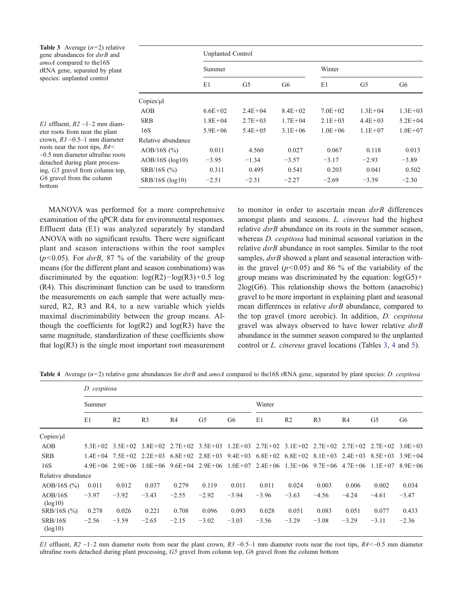<span id="page-9-0"></span>**Table 3** Average  $(n=2)$  relative gene abundances for  $dsrB$  and amoA compared to the16S rRNA gene, separated by plant species: unplanted control E1 effluent,  $R2 \sim 1-2$  mm diam-Unplanted Control Summer Winter E1 G5 G6 E1 G5 G6 Copies/μl AOB 6.6E+02 2.4E+04 8.4E+02 7.0E+02 1.3E+04 1.3E+03 SRB 1.8E+04 2.7E+03 1.7E+04 2.1E+03 4.4E+03 5.2E+04 16S 5.9E+06 5.4E+05 3.1E+06 1.0E+06 1.1E+07 1.0E+07 Relative abundance AOB/16S (%) 0.011 4.560 0.027 0.067 0.118 0.013 AOB/16S (log10) −3.95 −1.34 −3.57 −3.17 −2.93 −3.89 SRB/16S (%) 0.311 0.495 0.541 0.203 0.041 0.502  $SRB/16S (log10)$   $-2.51$   $-2.31$   $-2.27$   $-2.69$   $-3.39$   $-2.30$ 

eter roots from near the plant crown, R3 ~0.5–1 mm diameter roots near the root tips, R4< ~0.5 mm diameter ultrafine roots detached during plant processing, G5 gravel from column top, G6 gravel from the column bottom

MANOVA was performed for a more comprehensive examination of the qPCR data for environmental responses. Effluent data (E1) was analyzed separately by standard ANOVA with no significant results. There were significant plant and season interactions within the root samples ( $p$ <0.05). For *dsrB*, 87 % of the variability of the group means (for the different plant and season combinations) was discriminated by the equation: log(R2)−log(R3)+0.5 log (R4). This discriminant function can be used to transform the measurements on each sample that were actually measured, R2, R3 and R4, to a new variable which yields maximal discriminability between the group means. Although the coefficients for  $log(R2)$  and  $log(R3)$  have the same magnitude, standardization of these coefficients show that  $log(R3)$  is the single most important root measurement to monitor in order to ascertain mean  $dsrB$  differences amongst plants and seasons. L. cinereus had the highest relative  $dsrB$  abundance on its roots in the summer season, whereas *D. cespitosa* had minimal seasonal variation in the relative  $dsrB$  abundance in root samples. Similar to the root samples,  $dsrB$  showed a plant and seasonal interaction within the gravel  $(p<0.05)$  and 86 % of the variability of the group means was discriminated by the equation:  $log(G5)$ + 2log(G6). This relationship shows the bottom (anaerobic) gravel to be more important in explaining plant and seasonal mean differences in relative *dsrB* abundance, compared to the top gravel (more aerobic). In addition, D. cespitosa gravel was always observed to have lower relative dsrB abundance in the summer season compared to the unplanted control or L. cinereus gravel locations (Tables 3, 4 and [5](#page-10-0)).

|                           | D. cespitosa |                                                                                                 |                |                |                |                |                                                             |                |                |                |                     |         |
|---------------------------|--------------|-------------------------------------------------------------------------------------------------|----------------|----------------|----------------|----------------|-------------------------------------------------------------|----------------|----------------|----------------|---------------------|---------|
|                           | Summer       |                                                                                                 |                |                |                | Winter         |                                                             |                |                |                |                     |         |
|                           | E1           | R <sub>2</sub>                                                                                  | R <sub>3</sub> | R <sub>4</sub> | G <sub>5</sub> | G <sub>6</sub> | E1                                                          | R <sub>2</sub> | R <sub>3</sub> | R <sub>4</sub> | G <sub>5</sub>      | G6      |
| Copies/µl                 |              |                                                                                                 |                |                |                |                |                                                             |                |                |                |                     |         |
| AOB                       |              | 5.3E+02 3.5E+02 3.8E+02 2.7E+02 3.5E+03 1.2E+03 2.7E+02 3.1E+02 2.7E+02 2.7E+02 2.7E+02 3.0E+03 |                |                |                |                |                                                             |                |                |                |                     |         |
| <b>SRB</b>                |              | $1.4E+04$ $7.5E+02$ $2.2E+03$                                                                   |                |                |                |                | $6.8E+02$ $2.8E+03$ $9.4E+03$ $6.8E+02$ $6.8E+02$ $8.1E+03$ |                |                | $2.4E+03$      | $8.5E+03$ $3.9E+04$ |         |
| 16S                       |              | 4.9E+06 2.9E+06 1.0E+06 9.6E+04 2.9E+06 1.0E+07 2.4E+06 1.3E+06 9.7E+06 4.7E+06 1.1E+07 8.9E+06 |                |                |                |                |                                                             |                |                |                |                     |         |
| Relative abundance        |              |                                                                                                 |                |                |                |                |                                                             |                |                |                |                     |         |
| $AOB/16S$ (%)             | 0.011        | 0.012                                                                                           | 0.037          | 0.279          | 0.119          | 0.011          | 0.011                                                       | 0.024          | 0.003          | 0.006          | 0.002               | 0.034   |
| AOB/16S<br>(log10)        | $-3.97$      | $-3.92$                                                                                         | $-3.43$        | $-2.55$        | $-2.92$        | $-3.94$        | $-3.96$                                                     | $-3.63$        | $-4.56$        | $-4.24$        | $-4.61$             | $-3.47$ |
| $SRB/16S$ $(\% )$         | 0.278        | 0.026                                                                                           | 0.221          | 0.708          | 0.096          | 0.093          | 0.028                                                       | 0.051          | 0.083          | 0.051          | 0.077               | 0.433   |
| <b>SRB/16S</b><br>(log10) | $-2.56$      | $-3.59$                                                                                         | $-2.65$        | $-2.15$        | $-3.02$        | $-3.03$        | $-3.56$                                                     | $-3.29$        | $-3.08$        | $-3.29$        | $-3.11$             | $-2.36$ |

Table 4 Average  $(n=2)$  relative gene abundances for  $dsrB$  and amoA compared to the16S rRNA gene, separated by plant species: D. cespitosa

E1 effluent,  $R_2 \sim 1-2$  mm diameter roots from near the plant crown,  $R_3 \sim 0.5-1$  mm diameter roots near the root tips,  $R_4 < \sim 0.5$  mm diameter ultrafine roots detached during plant processing, G5 gravel from column top, G6 gravel from the column bottom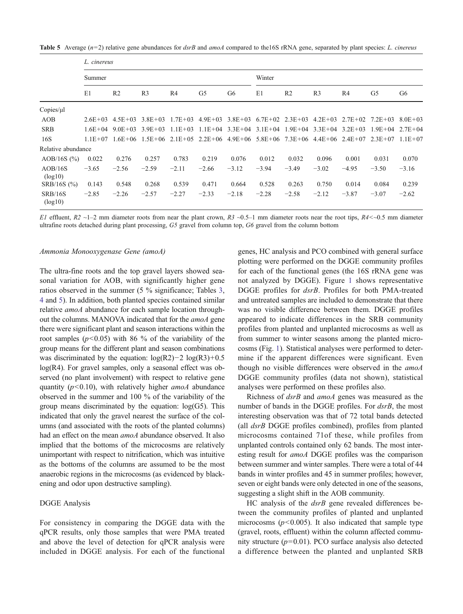<span id="page-10-0"></span>Table 5 Average  $(n=2)$  relative gene abundances for dsrB and amoA compared to the16S rRNA gene, separated by plant species: L. cinereus

|                           | L. cinereus |                |                                                                                                     |              |                |                     |         |                     |                |                               |                |                |
|---------------------------|-------------|----------------|-----------------------------------------------------------------------------------------------------|--------------|----------------|---------------------|---------|---------------------|----------------|-------------------------------|----------------|----------------|
|                           | Summer      |                |                                                                                                     |              |                | Winter              |         |                     |                |                               |                |                |
|                           | E1          | R <sub>2</sub> | R <sub>3</sub>                                                                                      | R4           | G <sub>5</sub> | G6                  | E1      | R <sub>2</sub>      | R <sub>3</sub> | R4                            | G <sub>5</sub> | G <sub>6</sub> |
| Copies/µl                 |             |                |                                                                                                     |              |                |                     |         |                     |                |                               |                |                |
| AOB                       | $2.6E+0.3$  | $4.5E+03$      | $3.8E+03$                                                                                           | $1.7E + 0.3$ |                | $4.9E+03$ $3.8E+03$ |         | $6.7E+02$ $2.3E+03$ |                | $4.2E+03$ $2.7E+02$ $7.2E+03$ |                | $8.0E + 0.3$   |
| <b>SRB</b>                |             |                | $1.6E+04$ 9.0E+03 3.9E+03 1.1E+03 1.1E+04 3.3E+04 3.1E+04 1.9E+04 3.3E+04 3.2E+03 1.9E+04 2.7E+04   |              |                |                     |         |                     |                |                               |                |                |
| 16S                       | $1.1E + 07$ |                | $1.6E+06$ $1.5E+06$ $2.1E+05$ $2.2E+06$ $4.9E+06$ $5.8E+06$ $7.3E+06$ $4.4E+06$ $2.4E+07$ $2.3E+07$ |              |                |                     |         |                     |                |                               |                | $1.1E + 07$    |
| Relative abundance        |             |                |                                                                                                     |              |                |                     |         |                     |                |                               |                |                |
| $AOB/16S$ $(\% )$         | 0.022       | 0.276          | 0.257                                                                                               | 0.783        | 0.219          | 0.076               | 0.012   | 0.032               | 0.096          | 0.001                         | 0.031          | 0.070          |
| AOB/16S<br>(log10)        | $-3.65$     | $-2.56$        | $-2.59$                                                                                             | $-2.11$      | $-2.66$        | $-3.12$             | $-3.94$ | $-3.49$             | $-3.02$        | $-4.95$                       | $-3.50$        | $-3.16$        |
| $SRB/16S$ $(\% )$         | 0.143       | 0.548          | 0.268                                                                                               | 0.539        | 0.471          | 0.664               | 0.528   | 0.263               | 0.750          | 0.014                         | 0.084          | 0.239          |
| <b>SRB/16S</b><br>(log10) | $-2.85$     | $-2.26$        | $-2.57$                                                                                             | $-2.27$      | $-2.33$        | $-2.18$             | $-2.28$ | $-2.58$             | $-2.12$        | $-3.87$                       | $-3.07$        | $-2.62$        |

E1 effluent,  $R2 \sim 1-2$  mm diameter roots from near the plant crown,  $R3 \sim 0.5-1$  mm diameter roots near the root tips,  $R4 \ll 0.5$  mm diameter ultrafine roots detached during plant processing, G5 gravel from column top, G6 gravel from the column bottom

#### Ammonia Monooxygenase Gene (amoA)

The ultra-fine roots and the top gravel layers showed seasonal variation for AOB, with significantly higher gene ratios observed in the summer (5 % significance; Tables [3,](#page-9-0) [4](#page-9-0) and 5). In addition, both planted species contained similar relative *amoA* abundance for each sample location throughout the columns. MANOVA indicated that for the *amoA* gene there were significant plant and season interactions within the root samples  $(p<0.05)$  with 86 % of the variability of the group means for the different plant and season combinations was discriminated by the equation:  $log(R2)$ −2  $log(R3)$ +0.5 log(R4). For gravel samples, only a seasonal effect was observed (no plant involvement) with respect to relative gene quantity ( $p<0.10$ ), with relatively higher *amoA* abundance observed in the summer and 100 % of the variability of the group means discriminated by the equation: log(G5). This indicated that only the gravel nearest the surface of the columns (and associated with the roots of the planted columns) had an effect on the mean amoA abundance observed. It also implied that the bottoms of the microcosms are relatively unimportant with respect to nitrification, which was intuitive as the bottoms of the columns are assumed to be the most anaerobic regions in the microcosms (as evidenced by blackening and odor upon destructive sampling).

## DGGE Analysis

For consistency in comparing the DGGE data with the qPCR results, only those samples that were PMA treated and above the level of detection for qPCR analysis were included in DGGE analysis. For each of the functional genes, HC analysis and PCO combined with general surface plotting were performed on the DGGE community profiles for each of the functional genes (the 16S rRNA gene was not analyzed by DGGE). Figure [1](#page-11-0) shows representative DGGE profiles for dsrB. Profiles for both PMA-treated and untreated samples are included to demonstrate that there was no visible difference between them. DGGE profiles appeared to indicate differences in the SRB community profiles from planted and unplanted microcosms as well as from summer to winter seasons among the planted microcosms (Fig. [1](#page-11-0)). Statistical analyses were performed to determine if the apparent differences were significant. Even though no visible differences were observed in the *amoA* DGGE community profiles (data not shown), statistical analyses were performed on these profiles also.

Richness of dsrB and amoA genes was measured as the number of bands in the DGGE profiles. For  $dsrB$ , the most interesting observation was that of 72 total bands detected (all dsrB DGGE profiles combined), profiles from planted microcosms contained 71of these, while profiles from unplanted controls contained only 62 bands. The most interesting result for amoA DGGE profiles was the comparison between summer and winter samples. There were a total of 44 bands in winter profiles and 45 in summer profiles; however, seven or eight bands were only detected in one of the seasons, suggesting a slight shift in the AOB community.

 $HC$  analysis of the  $dsrB$  gene revealed differences between the community profiles of planted and unplanted microcosms ( $p$ <0.005). It also indicated that sample type (gravel, roots, effluent) within the column affected community structure  $(p=0.01)$ . PCO surface analysis also detected a difference between the planted and unplanted SRB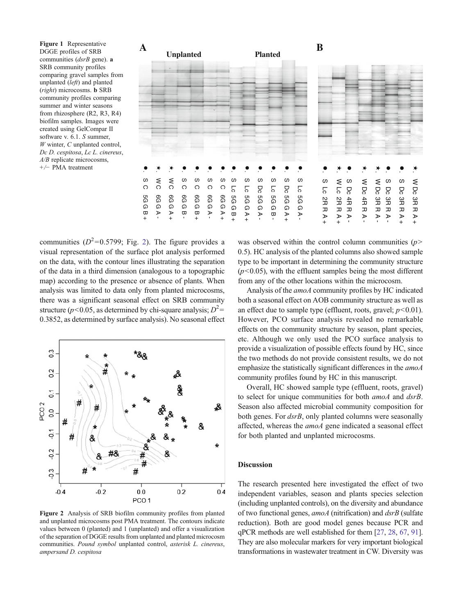DGGE profiles of SRB communities (dsrB gene). a SRB community profiles comparing gravel samples from unplanted (left) and planted (right) microcosms. b SRB community profiles comparing summer and winter seasons from rhizosphere (R2, R3, R4) biofilm samples. Images were created using GelCompar II software v. 6.1. S summer, W winter, C unplanted control, Dc D. cespitosa, Lc L. cinereus,  $A/B$  replicate microcosms, +/− PMA treatment

<span id="page-11-0"></span>

communities ( $D^2$ =0.5799; Fig. 2). The figure provides a visual representation of the surface plot analysis performed on the data, with the contour lines illustrating the separation of the data in a third dimension (analogous to a topographic map) according to the presence or absence of plants. When analysis was limited to data only from planted microcosms, there was a significant seasonal effect on SRB community structure ( $p$ <0.05, as determined by chi-square analysis;  $D^2$ = 0.3852, as determined by surface analysis). No seasonal effect



Figure 2 Analysis of SRB biofilm community profiles from planted and unplanted microcosms post PMA treatment. The contours indicate values between 0 (planted) and 1 (unplanted) and offer a visualization of the separation of DGGE results from unplanted and planted microcosm communities. Pound symbol unplanted control, asterisk L. cinereus, ampersand D. cespitosa

was observed within the control column communities  $(p$ 0.5). HC analysis of the planted columns also showed sample type to be important in determining the community structure  $(p<0.05)$ , with the effluent samples being the most different from any of the other locations within the microcosm.

Analysis of the *amoA* community profiles by HC indicated both a seasonal effect on AOB community structure as well as an effect due to sample type (effluent, roots, gravel;  $p<0.01$ ). However, PCO surface analysis revealed no remarkable effects on the community structure by season, plant species, etc. Although we only used the PCO surface analysis to provide a visualization of possible effects found by HC, since the two methods do not provide consistent results, we do not emphasize the statistically significant differences in the *amoA* community profiles found by HC in this manuscript. or  $\alpha$  or  $\alpha$  or  $\alpha$  or  $\alpha$  =  $\frac{1}{2}$  a  $\frac{1}{2}$  a  $\frac{1}{2}$  a  $\frac{1}{2}$  a  $\frac{1}{2}$  a  $\frac{1}{2}$  a  $\frac{1}{2}$  a  $\frac{1}{2}$  a  $\frac{1}{2}$  a  $\frac{1}{2}$  a  $\frac{1}{2}$  a  $\frac{1}{2}$  a  $\frac{1}{2}$  a  $\frac{1}{2}$  a  $\frac{1}{2}$  a  $\frac{1}{$ 

Overall, HC showed sample type (effluent, roots, gravel) to select for unique communities for both *amoA* and *dsrB*. Season also affected microbial community composition for both genes. For dsrB, only planted columns were seasonally affected, whereas the *amoA* gene indicated a seasonal effect for both planted and unplanted microcosms.

## Discussion

The research presented here investigated the effect of two independent variables, season and plants species selection (including unplanted controls), on the diversity and abundance of two functional genes, amoA (nitrification) and dsrB (sulfate reduction). Both are good model genes because PCR and qPCR methods are well established for them [[27](#page-15-0), [28](#page-15-0), [67,](#page-16-0) [91\]](#page-16-0). They are also molecular markers for very important biological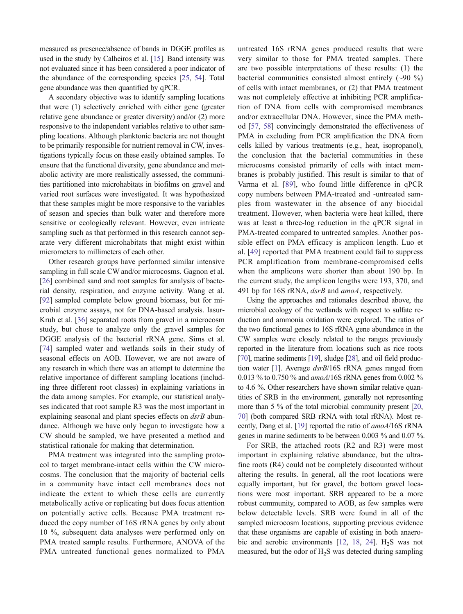measured as presence/absence of bands in DGGE profiles as used in the study by Calheiros et al. [\[15\]](#page-14-0). Band intensity was not evaluated since it has been considered a poor indicator of the abundance of the corresponding species [\[25,](#page-15-0) [54\]](#page-15-0). Total gene abundance was then quantified by qPCR.

A secondary objective was to identify sampling locations that were (1) selectively enriched with either gene (greater relative gene abundance or greater diversity) and/or (2) more responsive to the independent variables relative to other sampling locations. Although planktonic bacteria are not thought to be primarily responsible for nutrient removal in CW, investigations typically focus on these easily obtained samples. To ensure that the functional diversity, gene abundance and metabolic activity are more realistically assessed, the communities partitioned into microhabitats in biofilms on gravel and varied root surfaces were investigated. It was hypothesized that these samples might be more responsive to the variables of season and species than bulk water and therefore more sensitive or ecologically relevant. However, even intricate sampling such as that performed in this research cannot separate very different microhabitats that might exist within micrometers to millimeters of each other.

Other research groups have performed similar intensive sampling in full scale CW and/or microcosms. Gagnon et al. [\[26](#page-15-0)] combined sand and root samples for analysis of bacterial density, respiration, and enzyme activity. Wang et al. [\[92](#page-16-0)] sampled complete below ground biomass, but for microbial enzyme assays, not for DNA-based analysis. Iasur-Kruh et al. [[36\]](#page-15-0) separated roots from gravel in a microcosm study, but chose to analyze only the gravel samples for DGGE analysis of the bacterial rRNA gene. Sims et al. [\[74](#page-16-0)] sampled water and wetlands soils in their study of seasonal effects on AOB. However, we are not aware of any research in which there was an attempt to determine the relative importance of different sampling locations (including three different root classes) in explaining variations in the data among samples. For example, our statistical analyses indicated that root sample R3 was the most important in explaining seasonal and plant species effects on  $dsrB$  abundance. Although we have only begun to investigate how a CW should be sampled, we have presented a method and statistical rationale for making that determination.

PMA treatment was integrated into the sampling protocol to target membrane-intact cells within the CW microcosms. The conclusion that the majority of bacterial cells in a community have intact cell membranes does not indicate the extent to which these cells are currently metabolically active or replicating but does focus attention on potentially active cells. Because PMA treatment reduced the copy number of 16S rRNA genes by only about 10 %, subsequent data analyses were performed only on PMA treated sample results. Furthermore, ANOVA of the PMA untreated functional genes normalized to PMA

untreated 16S rRNA genes produced results that were very similar to those for PMA treated samples. There are two possible interpretations of these results: (1) the bacterial communities consisted almost entirely  $(\sim 90\degree\%)$ of cells with intact membranes, or (2) that PMA treatment was not completely effective at inhibiting PCR amplification of DNA from cells with compromised membranes and/or extracellular DNA. However, since the PMA method [[57,](#page-16-0) [58\]](#page-16-0) convincingly demonstrated the effectiveness of PMA in excluding from PCR amplification the DNA from cells killed by various treatments (e.g., heat, isopropanol), the conclusion that the bacterial communities in these microcosms consisted primarily of cells with intact membranes is probably justified. This result is similar to that of Varma et al. [\[89](#page-16-0)], who found little difference in qPCR copy numbers between PMA-treated and -untreated samples from wastewater in the absence of any biocidal treatment. However, when bacteria were heat killed, there was at least a three-log reduction in the qPCR signal in PMA-treated compared to untreated samples. Another possible effect on PMA efficacy is amplicon length. Luo et al. [[49](#page-15-0)] reported that PMA treatment could fail to suppress PCR amplification from membrane-compromised cells when the amplicons were shorter than about 190 bp. In the current study, the amplicon lengths were 193, 370, and 491 bp for 16S rRNA, *dsrB* and *amoA*, respectively.

Using the approaches and rationales described above, the microbial ecology of the wetlands with respect to sulfate reduction and ammonia oxidation were explored. The ratios of the two functional genes to 16S rRNA gene abundance in the CW samples were closely related to the ranges previously reported in the literature from locations such as rice roots [\[70\]](#page-16-0), marine sediments [[19](#page-15-0)], sludge [\[28\]](#page-15-0), and oil field production water [\[1\]](#page-14-0). Average dsrB/16S rRNA genes ranged from 0.013 % to 0.750 % and amoA/16S rRNA genes from 0.002 % to 4.6 %. Other researchers have shown similar relative quantities of SRB in the environment, generally not representing more than 5 % of the total microbial community present [\[20,](#page-15-0) [70\]](#page-16-0) (both compared SRB rRNA with total rRNA). Most recently, Dang et al. [\[19\]](#page-15-0) reported the ratio of amoA/16S rRNA genes in marine sediments to be between 0.003 % and 0.07 %.

For SRB, the attached roots (R2 and R3) were most important in explaining relative abundance, but the ultrafine roots (R4) could not be completely discounted without altering the results. In general, all the root locations were equally important, but for gravel, the bottom gravel locations were most important. SRB appeared to be a more robust community, compared to AOB, as few samples were below detectable levels. SRB were found in all of the sampled microcosm locations, supporting previous evidence that these organisms are capable of existing in both anaerobic and aerobic environments  $[12, 18, 24]$  $[12, 18, 24]$  $[12, 18, 24]$  $[12, 18, 24]$  $[12, 18, 24]$  $[12, 18, 24]$ . H<sub>2</sub>S was not measured, but the odor of H2S was detected during sampling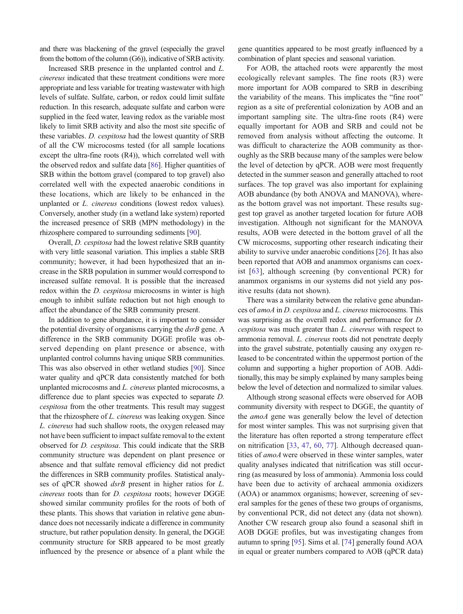and there was blackening of the gravel (especially the gravel from the bottom of the column (G6)), indicative of SRB activity.

Increased SRB presence in the unplanted control and L. cinereus indicated that these treatment conditions were more appropriate and less variable for treating wastewater with high levels of sulfate. Sulfate, carbon, or redox could limit sulfate reduction. In this research, adequate sulfate and carbon were supplied in the feed water, leaving redox as the variable most likely to limit SRB activity and also the most site specific of these variables. D. cespitosa had the lowest quantity of SRB of all the CW microcosms tested (for all sample locations except the ultra-fine roots (R4)), which correlated well with the observed redox and sulfate data [[86\]](#page-16-0). Higher quantities of SRB within the bottom gravel (compared to top gravel) also correlated well with the expected anaerobic conditions in these locations, which are likely to be enhanced in the unplanted or L. cinereus conditions (lowest redox values). Conversely, another study (in a wetland lake system) reported the increased presence of SRB (MPN methodology) in the rhizosphere compared to surrounding sediments [[90](#page-16-0)].

Overall, D. cespitosa had the lowest relative SRB quantity with very little seasonal variation. This implies a stable SRB community; however, it had been hypothesized that an increase in the SRB population in summer would correspond to increased sulfate removal. It is possible that the increased redox within the *D. cespitosa* microcosms in winter is high enough to inhibit sulfate reduction but not high enough to affect the abundance of the SRB community present.

In addition to gene abundance, it is important to consider the potential diversity of organisms carrying the  $dsrB$  gene. A difference in the SRB community DGGE profile was observed depending on plant presence or absence, with unplanted control columns having unique SRB communities. This was also observed in other wetland studies [[90\]](#page-16-0). Since water quality and qPCR data consistently matched for both unplanted microcosms and L. cinereus planted microcosms, a difference due to plant species was expected to separate D. cespitosa from the other treatments. This result may suggest that the rhizosphere of  $L$ . *cinereus* was leaking oxygen. Since L. cinereus had such shallow roots, the oxygen released may not have been sufficient to impact sulfate removal to the extent observed for D. cespitosa. This could indicate that the SRB community structure was dependent on plant presence or absence and that sulfate removal efficiency did not predict the differences in SRB community profiles. Statistical analyses of qPCR showed dsrB present in higher ratios for L. cinereus roots than for D. cespitosa roots; however DGGE showed similar community profiles for the roots of both of these plants. This shows that variation in relative gene abundance does not necessarily indicate a difference in community structure, but rather population density. In general, the DGGE community structure for SRB appeared to be most greatly influenced by the presence or absence of a plant while the

gene quantities appeared to be most greatly influenced by a combination of plant species and seasonal variation.

For AOB, the attached roots were apparently the most ecologically relevant samples. The fine roots (R3) were more important for AOB compared to SRB in describing the variability of the means. This implicates the "fine root" region as a site of preferential colonization by AOB and an important sampling site. The ultra-fine roots (R4) were equally important for AOB and SRB and could not be removed from analysis without affecting the outcome. It was difficult to characterize the AOB community as thoroughly as the SRB because many of the samples were below the level of detection by qPCR. AOB were most frequently detected in the summer season and generally attached to root surfaces. The top gravel was also important for explaining AOB abundance (by both ANOVA and MANOVA), whereas the bottom gravel was not important. These results suggest top gravel as another targeted location for future AOB investigation. Although not significant for the MANOVA results, AOB were detected in the bottom gravel of all the CW microcosms, supporting other research indicating their ability to survive under anaerobic conditions [[26\]](#page-15-0). It has also been reported that AOB and anammox organisms can coexist [[63](#page-16-0)], although screening (by conventional PCR) for anammox organisms in our systems did not yield any positive results (data not shown).

There was a similarity between the relative gene abundances of amoA in D. cespitosa and L. cinereus microcosms. This was surprising as the overall redox and performance for D. cespitosa was much greater than L. cinereus with respect to ammonia removal. L. cinereus roots did not penetrate deeply into the gravel substrate, potentially causing any oxygen released to be concentrated within the uppermost portion of the column and supporting a higher proportion of AOB. Additionally, this may be simply explained by many samples being below the level of detection and normalized to similar values.

Although strong seasonal effects were observed for AOB community diversity with respect to DGGE, the quantity of the amoA gene was generally below the level of detection for most winter samples. This was not surprising given that the literature has often reported a strong temperature effect on nitrification [\[33](#page-15-0), [47](#page-15-0), [60,](#page-16-0) [77\]](#page-16-0). Although decreased quantities of amoA were observed in these winter samples, water quality analyses indicated that nitrification was still occurring (as measured by loss of ammonia). Ammonia loss could have been due to activity of archaeal ammonia oxidizers (AOA) or anammox organisms; however, screening of several samples for the genes of these two groups of organisms, by conventional PCR, did not detect any (data not shown). Another CW research group also found a seasonal shift in AOB DGGE profiles, but was investigating changes from autumn to spring [\[95](#page-17-0)]. Sims et al. [[74\]](#page-16-0) generally found AOA in equal or greater numbers compared to AOB (qPCR data)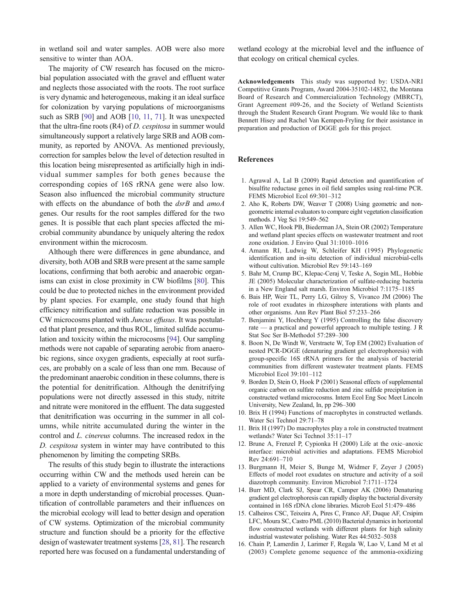<span id="page-14-0"></span>in wetland soil and water samples. AOB were also more sensitive to winter than AOA.

The majority of CW research has focused on the microbial population associated with the gravel and effluent water and neglects those associated with the roots. The root surface is very dynamic and heterogeneous, making it an ideal surface for colonization by varying populations of microorganisms such as SRB [\[90\]](#page-16-0) and AOB [10, 11, [71\]](#page-16-0). It was unexpected that the ultra-fine roots (R4) of D. cespitosa in summer would simultaneously support a relatively large SRB and AOB community, as reported by ANOVA. As mentioned previously, correction for samples below the level of detection resulted in this location being misrepresented as artificially high in individual summer samples for both genes because the corresponding copies of 16S rRNA gene were also low. Season also influenced the microbial community structure with effects on the abundance of both the  $dsrB$  and amoA genes. Our results for the root samples differed for the two genes. It is possible that each plant species affected the microbial community abundance by uniquely altering the redox environment within the microcosm.

Although there were differences in gene abundance, and diversity, both AOB and SRB were present at the same sample locations, confirming that both aerobic and anaerobic organisms can exist in close proximity in CW biofilms [\[80](#page-16-0)]. This could be due to protected niches in the environment provided by plant species. For example, one study found that high efficiency nitrification and sulfate reduction was possible in CW microcosms planted with Juncus effusus. It was postulated that plant presence, and thus ROL, limited sulfide accumulation and toxicity within the microcosms [\[94\]](#page-17-0). Our sampling methods were not capable of separating aerobic from anaerobic regions, since oxygen gradients, especially at root surfaces, are probably on a scale of less than one mm. Because of the predominant anaerobic condition in these columns, there is the potential for denitrification. Although the denitrifying populations were not directly assessed in this study, nitrite and nitrate were monitored in the effluent. The data suggested that denitrification was occurring in the summer in all columns, while nitrite accumulated during the winter in the control and L. cinereus columns. The increased redox in the D. cespitosa system in winter may have contributed to this phenomenon by limiting the competing SRBs.

The results of this study begin to illustrate the interactions occurring within CW and the methods used herein can be applied to a variety of environmental systems and genes for a more in depth understanding of microbial processes. Quantification of controllable parameters and their influences on the microbial ecology will lead to better design and operation of CW systems. Optimization of the microbial community structure and function should be a priority for the effective design of wastewater treatment systems [\[28,](#page-15-0) [81](#page-16-0)]. The research reported here was focused on a fundamental understanding of

wetland ecology at the microbial level and the influence of that ecology on critical chemical cycles.

Acknowledgements This study was supported by: USDA-NRI Competitive Grants Program, Award 2004-35102-14832, the Montana Board of Research and Commercialization Technology (MBRCT), Grant Agreement #09-26, and the Society of Wetland Scientists through the Student Research Grant Program. We would like to thank Bennett Hisey and Rachel Van Kempen-Fryling for their assistance in preparation and production of DGGE gels for this project.

### References

- 1. Agrawal A, Lal B (2009) Rapid detection and quantification of bisulfite reductase genes in oil field samples using real-time PCR. FEMS Microbiol Ecol 69:301–312
- 2. Aho K, Roberts DW, Weaver T (2008) Using geometric and nongeometric internal evaluators to compare eight vegetation classification methods. J Veg Sci 19:549–562
- 3. Allen WC, Hook PB, Biederman JA, Stein OR (2002) Temperature and wetland plant species effects on wastewater treatment and root zone oxidation. J Enviro Qual 31:1010–1016
- 4. Amann RI, Ludwig W, Schleifer KH (1995) Phylogenetic identification and in-situ detection of individual microbial-cells without cultivation. Microbiol Rev 59:143–169
- 5. Bahr M, Crump BC, Klepac-Ceraj V, Teske A, Sogin ML, Hobbie JE (2005) Molecular characterization of sulfate-reducing bacteria in a New England salt marsh. Environ Microbiol 7:1175–1185
- 6. Bais HP, Weir TL, Perry LG, Gilroy S, Vivanco JM (2006) The role of root exudates in rhizosphere interations with plants and other organisms. Ann Rev Plant Biol 57:233–266
- 7. Benjamini Y, Hochberg Y (1995) Controlling the false discovery rate — a practical and powerful approach to multiple testing. J R Stat Soc Ser B-Methodol 57:289–300
- 8. Boon N, De Windt W, Verstraete W, Top EM (2002) Evaluation of nested PCR-DGGE (denaturing gradient gel electrophoresis) with group-specific 16S rRNA primers for the analysis of bacterial communities from different wastewater treatment plants. FEMS Microbiol Ecol 39:101–112
- 9. Borden D, Stein O, Hook P (2001) Seasonal effects of supplemental organic carbon on sulfate reduction and zinc sulfide precipitation in constructed wetland microcosms. Intern Ecol Eng Soc Meet Lincoln University, New Zealand, In, pp 296–300
- 10. Brix H (1994) Functions of macrophytes in constructed wetlands. Water Sci Technol 29:71–78
- 11. Brix H (1997) Do macrophytes play a role in constructed treatment wetlands? Water Sci Technol 35:11–17
- 12. Brune A, Frenzel P, Cypionka H (2000) Life at the oxic–anoxic interface: microbial activities and adaptations. FEMS Microbiol Rev 24:691–710
- 13. Burgmann H, Meier S, Bunge M, Widmer F, Zeyer J (2005) Effects of model root exudates on structure and activity of a soil diazotroph community. Environ Microbiol 7:1711–1724
- 14. Burr MD, Clark SJ, Spear CR, Camper AK (2006) Denaturing gradient gel electrophoresis can rapidly display the bacterial diversity contained in 16S rDNA clone libraries. Microb Ecol 51:479–486
- 15. Calheiros CSC, Teixeira A, Pires C, Franco AF, Duque AF, Crsipim LFC, Moura SC, Castro PML (2010) Bacterial dynamics in horizontal flow constructed wetlands with different plants for high salinity industrial wastewater polishing. Water Res 44:5032–5038
- 16. Chain P, Lamerdin J, Larimer F, Regala W, Lao V, Land M et al (2003) Complete genome sequence of the ammonia-oxidizing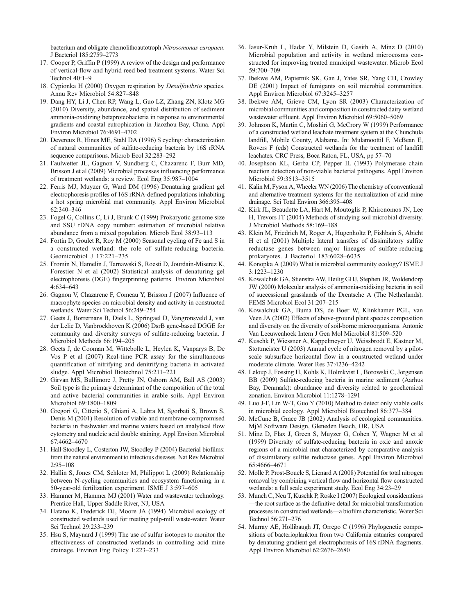<span id="page-15-0"></span>bacterium and obligate chemolithoautotroph Nitrosomonas europaea. J Bacteriol 185:2759–2773

- 17. Cooper P, Griffin P (1999) A review of the design and performance of vertical-flow and hybrid reed bed treatment systems. Water Sci Technol  $40.1-9$
- 18. Cypionka H (2000) Oxygen respiration by Desulfovibrio species. Annu Rev Microbiol 54:827–848
- 19. Dang HY, Li J, Chen RP, Wang L, Guo LZ, Zhang ZN, Klotz MG (2010) Diversity, abundance, and spatial distribution of sediment ammonia-oxidizing betaproteobacteria in response to environmental gradients and coastal eutrophication in Jiaozhou Bay, China. Appl Environ Microbiol 76:4691–4702
- 20. Devereux R, Hines ME, Stahl DA (1996) S cycling: characterization of natural communities of sulfate-reducing bacteria by 16S rRNA sequence comparisons. Microb Ecol 32:283–292
- 21. Faulwetter JL, Gagnon V, Sundberg C, Chazarenc F, Burr MD, Brisson J et al (2009) Microbial processes influencing performance of treatment wetlands: a review. Ecol Eng 35:987–1004
- 22. Ferris MJ, Muyzer G, Ward DM (1996) Denaturing gradient gel electrophoresis profiles of 16S rRNA-defined populations inhabiting a hot spring microbial mat community. Appl Environ Microbiol 62:340–346
- 23. Fogel G, Collins C, Li J, Brunk C (1999) Prokaryotic genome size and SSU rDNA copy number: estimation of microbial relative abundance from a mixed population. Microb Ecol 38:93–113
- 24. Fortin D, Goulet R, Roy M (2000) Seasonal cycling of Fe and S in a constructed wetland: the role of sulfate-reducing bacteria. Geomicrobiol J 17:221–235
- 25. Fromin N, Hamelin J, Tarnawski S, Roesti D, Jourdain-Miserez K, Forestier N et al (2002) Statistical analysis of denaturing gel electrophoresis (DGE) fingerprinting patterns. Environ Microbiol 4:634–643
- 26. Gagnon V, Chazarenc F, Comeau Y, Brisson J (2007) Influence of macrophyte species on microbial density and activity in constructed wetlands. Water Sci Technol 56:249–254
- 27. Geets J, Borrernans B, Diels L, Springael D, Vangronsveld J, van der Lelie D, Vanbroekhoven K (2006) DsrB gene-based DGGE for community and diversity surveys of sulfate-reducing bacteria. J Microbiol Methods 66:194–205
- 28. Geets J, de Cooman M, Wittebolle L, Heylen K, Vanparys B, De Vos P et al (2007) Real-time PCR assay for the simultaneous quantification of nitrifying and denitrifying bacteria in activated sludge. Appl Microbiol Biotechnol 75:211–221
- 29. Girvan MS, Bullimore J, Pretty JN, Osborn AM, Ball AS (2003) Soil type is the primary determinant of the composition of the total and active bacterial communities in arable soils. Appl Environ Microbiol 69:1800–1809
- 30. Gregori G, Citterio S, Ghiani A, Labra M, Sgorbati S, Brown S, Denis M (2001) Resolution of viable and membrane-compromised bacteria in freshwater and marine waters based on analytical flow cytometry and nucleic acid double staining. Appl Environ Microbiol 67:4662–4670
- 31. Hall-Stoodley L, Costerton JW, Stoodley P (2004) Bacterial biofilms: from the natural environment to infectious diseases. Nat Rev Microbiol 2:95–108
- 32. Hallin S, Jones CM, Schloter M, Philippot L (2009) Relationship between N-cycling communities and ecosystem functioning in a 50-year-old fertilization experiment. ISME J 3:597–605
- 33. Hammer M, Hammer MJ (2001) Water and wastewater technology. Prentice Hall, Upper Saddle River, NJ, USA
- 34. Hatano K, Frederick DJ, Moore JA (1994) Microbial ecology of constructed wetlands used for treating pulp-mill waste-water. Water Sci Technol 29:233–239
- 35. Hsu S, Maynard J (1999) The use of sulfur isotopes to monitor the effectiveness of constructed wetlands in controlling acid mine drainage. Environ Eng Policy 1:223–233
- 36. Iasur-Kruh L, Hadar Y, Milstein D, Gasith A, Minz D (2010) Microbial population and activity in wetland microcosms constructed for improving treated municipal wastewater. Microb Ecol 59:700–709
- 37. Ibekwe AM, Papiernik SK, Gan J, Yates SR, Yang CH, Crowley DE (2001) Impact of fumigants on soil microbial communities. Appl Environ Microbiol 67:3245–3257
- 38. Ibekwe AM, Grieve CM, Lyon SR (2003) Characterization of microbial communities and composition in constructed dairy wetland wastewater effluent. Appl Environ Microbiol 69:5060–5069
- 39. Johnson K, Martin C, Moshiri G, McCrory W (1999) Performance of a constructed wetland leachate treatment system at the Chunchula landfill, Mobile County, Alabama. In: Mulamoottil F, McBean E, Rovers F (eds) Constructed wetlands for the treatment of landfill leachates. CRC Press, Boca Raton, FL, USA, pp 57–70
- 40. Josephson KL, Gerba CP, Pepper IL (1993) Polymerase chain reaction detection of non-viable bacterial pathogens. Appl Environ Microbiol 59:3513–3515
- 41. Kalin M, Fyson A, Wheeler WN (2006) The chemistry of conventional and alternative treatment systems for the neutralization of acid mine drainage. Sci Total Environ 366:395–408
- 42. Kirk JL, Beaudette LA, Hart M, Moutoglis P, Khironomos JN, Lee H, Trevors JT (2004) Methods of studying soil microbial diversity. J Microbiol Methods 58:169–188
- 43. Klein M, Friedrich M, Roger A, Hugenholtz P, Fishbain S, Abicht H et al (2001) Multiple lateral transfers of dissimilatory sulfite reductase genes between major lineages of sulfate-reducing prokaryotes. J Bacteriol 183:6028–6035
- 44. Konopka A (2009) What is microbial community ecology? ISME J 3:1223–1230
- 45. Kowalchuk GA, Stienstra AW, Heilig GHJ, Stephen JR, Woldendorp JW (2000) Molecular analysis of ammonia-oxidising bacteria in soil of successional grasslands of the Drentsche A (The Netherlands). FEMS Microbiol Ecol 31:207–215
- 46. Kowalchuk GA, Buma DS, de Boer W, Klinkhamer PGL, van Veen JA (2002) Effects of above-ground plant species composition and diversity on the diversity of soil-borne microorganisms. Antonie Van Leeuwenhoek Intern J Gen Mol Microbiol 81:509–520
- 47. Kuschk P, Wiessner A, Kappelmeyer U, Weissbrodt E, Kastner M, Stottmeister U (2003) Annual cycle of nitrogen removal by a pilotscale subsurface horizontal flow in a constructed wetland under moderate climate. Water Res 37:4236–4242
- 48. Leloup J, Fossing H, Kohls K, Holmkvist L, Borowski C, Jorgensen BB (2009) Sulfate-reducing bacteria in marine sediment (Aarhus Bay, Denmark): abundance and diversity related to geochemical zonation. Environ Microbiol 11:1278–1291
- 49. Luo J-F, Lin W-T, Guo Y (2010) Method to detect only viable cells in microbial ecology. Appl Microbiol Biotechnol 86:377–384
- 50. McCune B, Grace JB (2002) Analysis of ecological communities. MjM Software Design, Gleneden Beach, OR, USA
- 51. Minz D, Flax J, Green S, Muyzer G, Cohen Y, Wagner M et al (1999) Diversity of sulfate-reducing bacteria in oxic and anoxic regions of a microbial mat characterized by comparative analysis of dissimilatory sulfite reductase genes. Appl Environ Microbiol 65:4666–4671
- 52. Molle P, Prost-Boucle S, Lienard A (2008) Potential for total nitrogen removal by combining vertical flow and horizontal flow constructed wetlands: a full scale experiment study. Ecol Eng 34:23–29
- 53. Munch C, Neu T, Kuschk P, Roske I (2007) Ecological considerations —the root surface as the definitive detail for microbial transformation processes in constructed wetlands—a biofilm characteristic. Water Sci Technol 56:271–276
- 54. Murray AE, Hollibaugh JT, Orrego C (1996) Phylogenetic compositions of bacterioplankton from two California estuaries compared by denaturing gradient gel electrophoresis of 16S rDNA fragments. Appl Environ Microbiol 62:2676–2680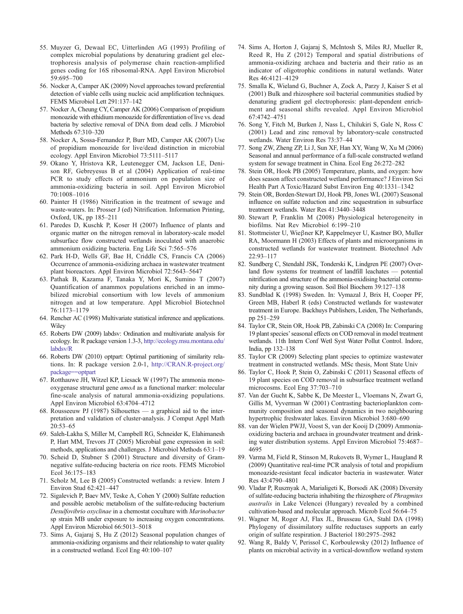- <span id="page-16-0"></span>55. Muyzer G, Dewaal EC, Uitterlinden AG (1993) Profiling of complex microbial populations by denaturing gradient gel electrophoresis analysis of polymerase chain reaction-amplified genes coding for 16S ribosomal-RNA. Appl Environ Microbiol 59:695–700
- 56. Nocker A, Camper AK (2009) Novel approaches toward preferential detection of viable cells using nucleic acid amplification techniques. FEMS Microbiol Lett 291:137–142
- 57. Nocker A, Cheung CY, Camper AK (2006) Comparison of propidium monoazide with ethidium monoazide for differentiation of live vs. dead bacteria by selective removal of DNA from dead cells. J Microbiol Methods 67:310–320
- 58. Nocker A, Sossa-Fernandez P, Burr MD, Camper AK (2007) Use of propidium monoazide for live/dead distinction in microbial ecology. Appl Environ Microbiol 73:5111–5117
- 59. Okano Y, Hristova KR, Leutenegger CM, Jackson LE, Denison RF, Gebreyesus B et al (2004) Application of real-time PCR to study effects of ammonium on population size of ammonia-oxidizing bacteria in soil. Appl Environ Microbiol 70:1008–1016
- 60. Painter H (1986) Nitrification in the treatment of sewage and waste-waters. In: Prosser J (ed) Nitrification. Information Printing, Oxford, UK, pp 185–211
- 61. Paredes D, Kuschk P, Koser H (2007) Influence of plants and organic matter on the nitrogen removal in laboratory-scale model subsurface flow constructed wetlands inoculated with anaerobic ammonium oxidizing bacteria. Eng Life Sci 7:565–576
- 62. Park H-D, Wells GF, Bae H, Criddle CS, Francis CA (2006) Occurrence of ammonia-oxidizing archaea in wastewater treatment plant bioreactors. Appl Environ Microbiol 72:5643–5647
- 63. Pathak B, Kazama F, Tanaka Y, Mori K, Sumino T (2007) Quantification of anammox populations enriched in an immobilized microbial consortium with low levels of ammonium nitrogen and at low temperature. Appl Microbiol Biotechnol 76:1173–1179
- 64. Rencher AC (1998) Multivariate statistical inference and applications. **Wiley**
- 65. Roberts DW (2009) labdsv: Ordination and multivariate analysis for ecology. In: R package version 1.3-3, http://ecology.msu.montana.edu/ labdsv/R
- 66. Roberts DW (2010) optpart: Optimal partitioning of similarity relations. In: R package version 2.0-1, http://CRAN.R-project.org/ package==optpart
- 67. Rotthauwe JH, Witzel KP, Liesack W (1997) The ammonia monooxygenase structural gene amoA as a functional marker: molecular fine-scale analysis of natural ammonia-oxidizing populations. Appl Environ Microbiol 63:4704–4712
- 68. Rousseeuw PJ (1987) Silhouettes a graphical aid to the interpretation and validation of cluster-analysis. J Comput Appl Math  $20.53 - 65$
- 69. Saleh-Lakha S, Miller M, Campbell RG, Schneider K, Elahimanesh P, Hart MM, Trevors JT (2005) Microbial gene expression in soil: methods, applications and challenges. J Microbiol Methods 63:1–19
- 70. Scheid D, Stubner S (2001) Structure and diversity of Gramnegative sulfate-reducing bacteria on rice roots. FEMS Microbiol Ecol 36:175–183
- 71. Scholz M, Lee B (2005) Constructed wetlands: a review. Intern J Environ Stud 62:421–447
- 72. Sigalevich P, Baev MV, Teske A, Cohen Y (2000) Sulfate reduction and possible aerobic metabolism of the sulfate-reducing bacterium Desulfovibrio oxyclinae in a chemostat coculture with Marinobacter sp strain MB under exposure to increasing oxygen concentrations. Appl Environ Microbiol 66:5013–5018
- 73. Sims A, Gajaraj S, Hu Z (2012) Seasonal population changes of ammonia-oxidizing organisms and their relationship to water quality in a constructed wetland. Ecol Eng 40:100–107
- 74. Sims A, Horton J, Gajaraj S, McIntosh S, Miles RJ, Mueller R, Reed R, Hu Z (2012) Temporal and spatial distributions of ammonia-oxidizing archaea and bacteria and their ratio as an indicator of oligotrophic conditions in natural wetlands. Water Res 46:4121–4129
- 75. Smalla K, Wieland G, Buchner A, Zock A, Parzy J, Kaiser S et al (2001) Bulk and rhizosphere soil bacterial communities studied by denaturing gradient gel electrophoresis: plant-dependent enrichment and seasonal shifts revealed. Appl Environ Microbiol 67:4742–4751
- 76. Song Y, Fitch M, Burken J, Nass L, Chilukiri S, Gale N, Ross C (2001) Lead and zinc removal by laboratory-scale constructed wetlands. Water Environ Res 73:37–44
- 77. Song ZW, Zheng ZP, Li J, Sun XF, Han XY, Wang W, Xu M (2006) Seasonal and annual performance of a full-scale constructed wetland system for sewage treatment in China. Ecol Eng 26:272–282
- 78. Stein OR, Hook PB (2005) Temperature, plants, and oxygen: how does season affect constructed wetland performance? J Environ Sci Health Part A Toxic/Hazard Subst Environ Eng 40:1331–1342
- 79. Stein OR, Borden-Stewart DJ, Hook PB, Jones WL (2007) Seasonal influence on sulfate reduction and zinc sequestration in subsurface treatment wetlands. Water Res 41:3440–3448
- 80. Stewart P, Franklin M (2008) Physiological heterogeneity in biofilms. Nat Rev Microbiol 6:199–210
- 81. Stottmeister U, Wieβner KP, Kappelmeyer U, Kastner BO, Muller RA, Moormann H (2003) Effects of plants and microorganisms in constructed wetlands for wastewater treatment. Biotechnol Adv 22:93–117
- 82. Sundberg C, Stendahl JSK, Tonderski K, Lindgren PE (2007) Overland flow systems for treatment of landfill leachates — potential nitrification and structure of the ammonia-oxidising bacterial community during a growing season. Soil Biol Biochem 39:127–138
- 83. Sundblad K (1998) Sweden. In: Vymazal J, Brix H, Cooper PF, Green MB, Haberl R (eds) Constructed wetlands for wastewater treatment in Europe. Backhuys Publishers, Leiden, The Netherlands, pp 251–259
- 84. Taylor CR, Stein OR, Hook PB, Zabinski CA (2008) In: Comparing 19 plant species'seasonal effects on COD removal in model treatment wetlands. 11th Intern Conf Wetl Syst Water Pollut Control. Indore, India, pp 132–138
- 85. Taylor CR (2009) Selecting plant species to optimize wastewater treatment in constructed wetlands. MSc thesis, Mont State Univ
- 86. Taylor C, Hook P, Stein O, Zabinski C (2011) Seasonal effects of 19 plant species on COD removal in subsurface treatment wetland microcosms. Ecol Eng 37:703–710
- 87. Van der Gucht K, Sabbe K, De Meester L, Vloemans N, Zwart G, Gillis M, Vyverman W (2001) Contrasting bacterioplankton community composition and seasonal dynamics in two neighbouring hypertrophic freshwater lakes. Environ Microbiol 3:680–690
- 88. van der Wielen PWJJ, Voost S, van der Kooij D (2009) Ammoniaoxidizing bacteria and archaea in groundwater treatment and drinking water distribution systems. Appl Environ Microbiol 75:4687– 4695
- 89. Varma M, Field R, Stinson M, Rukovets B, Wymer L, Haugland R (2009) Quantitative real-time PCR analysis of total and propidium monoazide-resistant fecal indicator bacteria in wastewater. Water Res 43:4790–4801
- 90. Vladar P, Rusznyak A, Marialigeti K, Borsodi AK (2008) Diversity of sulfate-reducing bacteria inhabiting the rhizosphere of Phragmites australis in Lake Velencei (Hungary) revealed by a combined cultivation-based and molecular approach. Microb Ecol 56:64–75
- 91. Wagner M, Roger AJ, Flax JL, Brusseau GA, Stahl DA (1998) Phylogeny of dissimilatory sulfite reductases supports an early origin of sulfate respiration. J Bacteriol 180:2975–2982
- 92. Wang R, Baldy V, Perissol C, Korboulewsky (2012) Influence of plants on microbial activity in a vertical-downflow wetland system